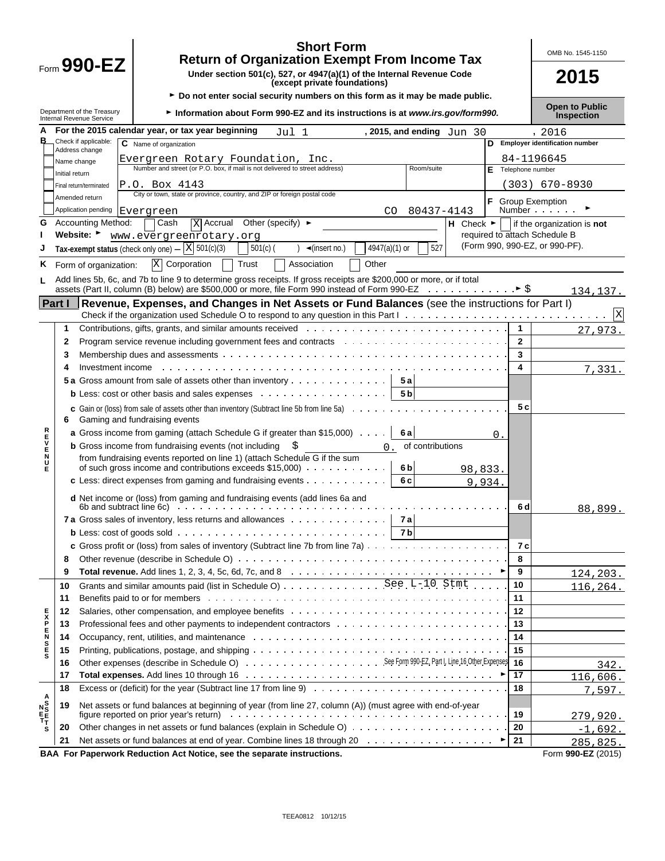|               |                |                                                        | <b>Short Form</b><br><b>Return of Organization Exempt From Income Tax</b>                                                                                                                                                      |         |                    | OMB No. 1545-1150                   |  |  |
|---------------|----------------|--------------------------------------------------------|--------------------------------------------------------------------------------------------------------------------------------------------------------------------------------------------------------------------------------|---------|--------------------|-------------------------------------|--|--|
|               |                | Form $990$ -EZ                                         | Under section 501(c), 527, or 4947(a)(1) of the Internal Revenue Code<br>(except private foundations)                                                                                                                          |         |                    | 2015                                |  |  |
|               |                | Department of the Treasury<br>Internal Revenue Service | ► Do not enter social security numbers on this form as it may be made public.<br>Information about Form 990-EZ and its instructions is at www.irs.gov/form990.                                                                 |         |                    | <b>Open to Public</b><br>Inspection |  |  |
|               |                |                                                        | For the 2015 calendar year, or tax year beginning<br>Jul 1<br>, 2015, and ending $Jun 30$                                                                                                                                      |         |                    | , 2016                              |  |  |
|               |                | Check if applicable:                                   | C Name of organization                                                                                                                                                                                                         |         |                    | D Employer identification number    |  |  |
|               |                | Address change                                         | Evergreen Rotary Foundation, Inc.                                                                                                                                                                                              |         |                    | 84-1196645                          |  |  |
|               |                | Name change                                            | Number and street (or P.O. box, if mail is not delivered to street address)<br>Room/suite                                                                                                                                      |         | E Telephone number |                                     |  |  |
|               | Initial return | Final return/terminated                                | P.O. Box 4143                                                                                                                                                                                                                  |         |                    | $(303)$ 670-8930                    |  |  |
|               |                | Amended return                                         | City or town, state or province, country, and ZIP or foreign postal code                                                                                                                                                       |         |                    |                                     |  |  |
|               |                | Application pending                                    | 80437-4143<br>Evergreen<br>CO.                                                                                                                                                                                                 |         |                    | F Group Exemption<br>Number         |  |  |
| G             |                | <b>Accounting Method:</b>                              | $X$ Accrual<br>Other (specify) $\blacktriangleright$<br>Cash<br>$H$ Check $\blacktriangleright$                                                                                                                                |         |                    | if the organization is not          |  |  |
|               |                | Website:                                               | www.evergreenrotary.org                                                                                                                                                                                                        |         |                    | required to attach Schedule B       |  |  |
|               |                |                                                        | 527<br>Tax-exempt status (check only one) $- \overline{x} $ 501(c)(3)<br>4947(a)(1) or<br>$501(c)$ (<br>$\triangleleft$ (insert no.)                                                                                           |         |                    | (Form 990, 990-EZ, or 990-PF).      |  |  |
| K.            |                | Form of organization:                                  | X <br>Corporation<br>Trust<br>Association<br>Other                                                                                                                                                                             |         |                    |                                     |  |  |
|               |                |                                                        | Add lines 5b, 6c, and 7b to line 9 to determine gross receipts. If gross receipts are \$200,000 or more, or if total                                                                                                           |         |                    |                                     |  |  |
|               |                |                                                        |                                                                                                                                                                                                                                |         |                    | 134, 137.                           |  |  |
|               | Part I         |                                                        | Revenue, Expenses, and Changes in Net Assets or Fund Balances (see the instructions for Part I)                                                                                                                                |         |                    |                                     |  |  |
|               |                |                                                        |                                                                                                                                                                                                                                |         |                    | X                                   |  |  |
|               | 1              |                                                        |                                                                                                                                                                                                                                |         | $\mathbf{1}$       | 27,973.                             |  |  |
|               | 2              |                                                        | Program service revenue including government fees and contracts                                                                                                                                                                |         | $\mathbf{2}$       |                                     |  |  |
|               | 3              |                                                        |                                                                                                                                                                                                                                |         | 3                  |                                     |  |  |
|               | 4              | Investment income                                      |                                                                                                                                                                                                                                |         | 4                  | 7,331.                              |  |  |
|               |                |                                                        | 5 a Gross amount from sale of assets other than inventory<br>5 a                                                                                                                                                               |         |                    |                                     |  |  |
|               |                |                                                        | 5 <sub>b</sub>                                                                                                                                                                                                                 |         |                    |                                     |  |  |
|               | 6              | Gaming and fundraising events                          |                                                                                                                                                                                                                                |         | 5c                 |                                     |  |  |
| ロマロヘロス        |                |                                                        | <b>a</b> Gross income from gaming (attach Schedule G if greater than \$15,000)<br>6a                                                                                                                                           | 0       |                    |                                     |  |  |
|               |                |                                                        | <b>b</b> Gross income from fundraising events (not including<br>of contributions<br>S<br>$0$ .                                                                                                                                 |         |                    |                                     |  |  |
|               |                |                                                        | from fundraising events reported on line 1) (attach Schedule G if the sum<br>of such gross income and contributions exceeds $$15,000$<br>6b                                                                                    |         |                    |                                     |  |  |
| Е             |                |                                                        | <b>c</b> Less: direct expenses from gaming and fundraising events $\cdots$<br>6 c                                                                                                                                              | 98,833. |                    |                                     |  |  |
|               |                |                                                        |                                                                                                                                                                                                                                | 9,934.  |                    |                                     |  |  |
|               |                |                                                        | d Net income or (loss) from gaming and fundraising events (add lines 6a and                                                                                                                                                    |         | 6 d                | 88,899.                             |  |  |
|               |                |                                                        | 7a Gross sales of inventory, less returns and allowances   7a                                                                                                                                                                  |         |                    |                                     |  |  |
|               |                |                                                        | 7 b                                                                                                                                                                                                                            |         |                    |                                     |  |  |
|               |                |                                                        |                                                                                                                                                                                                                                |         | 7 c<br>8           |                                     |  |  |
|               | 8<br>9         |                                                        | Total revenue. Add lines 1, 2, 3, 4, 5c, 6d, 7c, and 8 $\ldots \ldots \ldots \ldots \ldots \ldots \ldots \ldots \ldots \ldots$                                                                                                 |         | 9                  |                                     |  |  |
|               | 10             |                                                        | Grants and similar amounts paid (list in Schedule O) See L-10 Stmt                                                                                                                                                             |         | 10                 | 124,203.                            |  |  |
|               | 11             |                                                        | Benefits paid to or for members entering the service of the service of the service of the service of the service of the service of the service of the service of the service of the service of the service of the service of t |         | 11                 | 116,264.                            |  |  |
|               | 12             |                                                        |                                                                                                                                                                                                                                |         | 12                 |                                     |  |  |
|               | 13             |                                                        |                                                                                                                                                                                                                                |         | 13                 |                                     |  |  |
| <b>DENDES</b> | 14             |                                                        |                                                                                                                                                                                                                                |         | 14                 |                                     |  |  |
|               | 15             |                                                        |                                                                                                                                                                                                                                |         | 15                 |                                     |  |  |
|               | 16             |                                                        |                                                                                                                                                                                                                                |         | 16                 | 342.                                |  |  |
|               | 17             |                                                        | Total expenses. Add lines 10 through 16 (a) and a series of the series of the series of the series of the series of the series of the series of the series of the series of the series of the series of the series of the ser  |         | 17                 | 116,606.                            |  |  |
|               | 18             |                                                        |                                                                                                                                                                                                                                |         | 18                 | 7,597.                              |  |  |
|               | 19             |                                                        | Net assets or fund balances at beginning of year (from line 27, column (A)) (must agree with end-of-year                                                                                                                       |         |                    |                                     |  |  |
|               |                |                                                        |                                                                                                                                                                                                                                |         | 19                 | 279,920.                            |  |  |
| s             | 20             |                                                        |                                                                                                                                                                                                                                |         | 20                 | $-1,692.$                           |  |  |
|               | 21             |                                                        |                                                                                                                                                                                                                                |         | 21                 | 285,825.                            |  |  |
|               |                |                                                        | BAA For Paperwork Reduction Act Notice, see the separate instructions.                                                                                                                                                         |         |                    | Form 990-EZ (2015)                  |  |  |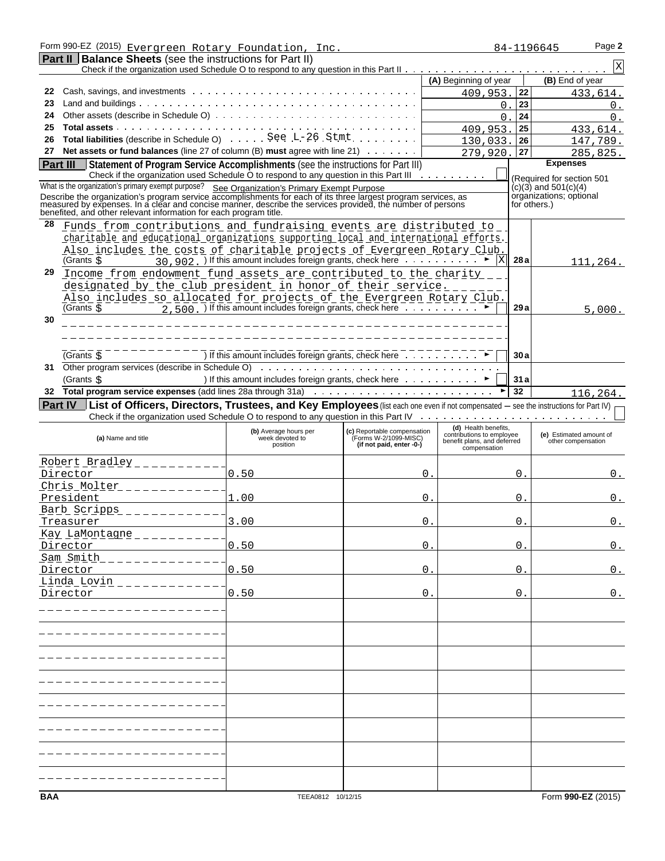|                 | Form 990-EZ (2015) Evergreen Rotary Foundation, Inc.                                                                                                                                                                                 |                                                                                         |                                                                                  |                                                                                                  |            | Page 2<br>84-1196645                          |
|-----------------|--------------------------------------------------------------------------------------------------------------------------------------------------------------------------------------------------------------------------------------|-----------------------------------------------------------------------------------------|----------------------------------------------------------------------------------|--------------------------------------------------------------------------------------------------|------------|-----------------------------------------------|
|                 | <b>Part II Balance Sheets</b> (see the instructions for Part II)                                                                                                                                                                     |                                                                                         |                                                                                  |                                                                                                  |            |                                               |
|                 |                                                                                                                                                                                                                                      |                                                                                         |                                                                                  |                                                                                                  |            |                                               |
|                 |                                                                                                                                                                                                                                      |                                                                                         |                                                                                  | (A) Beginning of year                                                                            |            | (B) End of year                               |
| 22              |                                                                                                                                                                                                                                      |                                                                                         |                                                                                  | 409,953.                                                                                         | 22         | 433,614.                                      |
| 23              |                                                                                                                                                                                                                                      |                                                                                         |                                                                                  | $\Omega$                                                                                         | 23         | 0.                                            |
| 24              |                                                                                                                                                                                                                                      |                                                                                         |                                                                                  | $\Omega$                                                                                         | 24         | 0.                                            |
| 25              |                                                                                                                                                                                                                                      |                                                                                         |                                                                                  | 409,953                                                                                          | 25         | 433,614.                                      |
| 26              | Total liabilities (describe in Schedule O) See L-26 Stmt.                                                                                                                                                                            |                                                                                         |                                                                                  | 130,033                                                                                          | 26         | 147,789.                                      |
| 27              | Net assets or fund balances (line 27 of column (B) must agree with line 21)                                                                                                                                                          |                                                                                         |                                                                                  | 279,920                                                                                          | 27         | 285,825                                       |
| <b>Part III</b> | Statement of Program Service Accomplishments (see the instructions for Part III)                                                                                                                                                     |                                                                                         |                                                                                  |                                                                                                  |            | <b>Expenses</b>                               |
|                 | Check if the organization used Schedule O to respond to any question in this Part III                                                                                                                                                |                                                                                         |                                                                                  |                                                                                                  |            | (Required for section 501                     |
|                 | What is the organization's primary exempt purpose? See Organization's Primary Exempt Purpose                                                                                                                                         |                                                                                         |                                                                                  |                                                                                                  |            | $(c)(3)$ and 501 $(c)(4)$                     |
|                 | Describe the organization's program service accomplishments for each of its three largest program services, as<br>measured by expenses. In a clear and concise manner, describe the services provided, the number of persons<br>bene |                                                                                         |                                                                                  |                                                                                                  |            | organizations; optional<br>for others.)       |
| 28              | Funds from contributions and fundraising events are distributed to                                                                                                                                                                   |                                                                                         |                                                                                  |                                                                                                  |            |                                               |
|                 | charitable and educational organizations supporting local and international efforts.                                                                                                                                                 |                                                                                         |                                                                                  |                                                                                                  |            |                                               |
|                 | Also includes the costs of charitable projects of Evergreen Rotary Club                                                                                                                                                              |                                                                                         |                                                                                  |                                                                                                  |            |                                               |
|                 | $G$ rants $\zeta$                                                                                                                                                                                                                    | $(30, 902)$ If this amount includes foreign grants, check here $(7, 7, 7, 7, 7, 7)$     |                                                                                  |                                                                                                  | 28 a       | 111,264.                                      |
| 29              | Income from endowment fund assets are contributed to the charity                                                                                                                                                                     |                                                                                         |                                                                                  |                                                                                                  |            |                                               |
|                 | designated by the club president in honor of their service.                                                                                                                                                                          |                                                                                         |                                                                                  |                                                                                                  |            |                                               |
|                 | Also includes so allocated for projects of the Evergreen Rotary Club                                                                                                                                                                 |                                                                                         |                                                                                  |                                                                                                  |            |                                               |
|                 | (Grants \$                                                                                                                                                                                                                           | 2.500 Fig. 3. If this amount includes foreign grants, check here $\cdots \cdots \cdots$ |                                                                                  |                                                                                                  | 29 a       |                                               |
| 30              |                                                                                                                                                                                                                                      |                                                                                         |                                                                                  |                                                                                                  |            | 5,000.                                        |
|                 |                                                                                                                                                                                                                                      |                                                                                         |                                                                                  |                                                                                                  |            |                                               |
|                 |                                                                                                                                                                                                                                      |                                                                                         |                                                                                  |                                                                                                  |            |                                               |
|                 |                                                                                                                                                                                                                                      |                                                                                         |                                                                                  |                                                                                                  |            |                                               |
|                 | (Grants ☆                                                                                                                                                                                                                            | If this amount includes foreign grants, check here $\ldots$                             |                                                                                  |                                                                                                  | 30a        |                                               |
| 31              |                                                                                                                                                                                                                                      |                                                                                         |                                                                                  |                                                                                                  |            |                                               |
|                 | (Grants \$                                                                                                                                                                                                                           | ) If this amount includes foreign grants, check here $\dots \dots \dots$                |                                                                                  |                                                                                                  | 31a        |                                               |
|                 |                                                                                                                                                                                                                                      |                                                                                         |                                                                                  |                                                                                                  | 32         | 116,264.                                      |
|                 | I List of Officers, Directors, Trustees, and Key Employees (list each one even if not compensated – see the instructions for Part IV)<br>Part IV                                                                                     |                                                                                         |                                                                                  |                                                                                                  |            |                                               |
|                 |                                                                                                                                                                                                                                      |                                                                                         |                                                                                  |                                                                                                  |            |                                               |
|                 | (a) Name and title                                                                                                                                                                                                                   | (b) Average hours per<br>week devoted to<br>position                                    | (c) Reportable compensation<br>(Forms W-2/1099-MISC)<br>(if not paid, enter -0-) | (d) Health benefits,<br>contributions to employee<br>benefit plans, and deferred<br>compensation |            | (e) Estimated amount of<br>other compensation |
|                 | $Robert_Fadley$ _______                                                                                                                                                                                                              |                                                                                         |                                                                                  |                                                                                                  |            |                                               |
|                 | Director                                                                                                                                                                                                                             | 0.50                                                                                    |                                                                                  | $\Omega$                                                                                         | 0          | 0.                                            |
|                 | Chris Molter                                                                                                                                                                                                                         |                                                                                         |                                                                                  |                                                                                                  |            |                                               |
|                 | President                                                                                                                                                                                                                            | 1.00                                                                                    |                                                                                  | 0                                                                                                | 0.         | 0.                                            |
|                 | Barb Scripps                                                                                                                                                                                                                         |                                                                                         |                                                                                  |                                                                                                  |            |                                               |
|                 |                                                                                                                                                                                                                                      | 3.00                                                                                    |                                                                                  | 0                                                                                                | $\Omega$ . |                                               |
|                 | Treasurer                                                                                                                                                                                                                            |                                                                                         |                                                                                  |                                                                                                  |            | 0.                                            |
|                 | <u>Kay LaMontagne –</u>                                                                                                                                                                                                              |                                                                                         |                                                                                  |                                                                                                  |            |                                               |
|                 | Director                                                                                                                                                                                                                             | 0.50                                                                                    |                                                                                  | $\Omega$                                                                                         | 0          | 0.                                            |
|                 | Sam Smith<br>کا کا کا کا کا ک                                                                                                                                                                                                        |                                                                                         |                                                                                  |                                                                                                  |            |                                               |
|                 | Director                                                                                                                                                                                                                             | 0.50                                                                                    |                                                                                  | 0.                                                                                               | 0.         | 0.                                            |
|                 | Linda Lovin                                                                                                                                                                                                                          |                                                                                         |                                                                                  |                                                                                                  |            |                                               |
|                 | Director                                                                                                                                                                                                                             | 0.50                                                                                    |                                                                                  | 0.                                                                                               | 0.         | 0.                                            |
|                 |                                                                                                                                                                                                                                      |                                                                                         |                                                                                  |                                                                                                  |            |                                               |
|                 |                                                                                                                                                                                                                                      |                                                                                         |                                                                                  |                                                                                                  |            |                                               |
|                 |                                                                                                                                                                                                                                      |                                                                                         |                                                                                  |                                                                                                  |            |                                               |
|                 |                                                                                                                                                                                                                                      |                                                                                         |                                                                                  |                                                                                                  |            |                                               |
|                 |                                                                                                                                                                                                                                      |                                                                                         |                                                                                  |                                                                                                  |            |                                               |
|                 |                                                                                                                                                                                                                                      |                                                                                         |                                                                                  |                                                                                                  |            |                                               |
|                 |                                                                                                                                                                                                                                      |                                                                                         |                                                                                  |                                                                                                  |            |                                               |
|                 |                                                                                                                                                                                                                                      |                                                                                         |                                                                                  |                                                                                                  |            |                                               |
|                 |                                                                                                                                                                                                                                      |                                                                                         |                                                                                  |                                                                                                  |            |                                               |
|                 |                                                                                                                                                                                                                                      |                                                                                         |                                                                                  |                                                                                                  |            |                                               |
|                 |                                                                                                                                                                                                                                      |                                                                                         |                                                                                  |                                                                                                  |            |                                               |
|                 |                                                                                                                                                                                                                                      |                                                                                         |                                                                                  |                                                                                                  |            |                                               |
|                 |                                                                                                                                                                                                                                      |                                                                                         |                                                                                  |                                                                                                  |            |                                               |
|                 |                                                                                                                                                                                                                                      |                                                                                         |                                                                                  |                                                                                                  |            |                                               |
|                 |                                                                                                                                                                                                                                      |                                                                                         |                                                                                  |                                                                                                  |            |                                               |
|                 |                                                                                                                                                                                                                                      |                                                                                         |                                                                                  |                                                                                                  |            |                                               |
|                 |                                                                                                                                                                                                                                      |                                                                                         |                                                                                  |                                                                                                  |            |                                               |
| <b>BAA</b>      |                                                                                                                                                                                                                                      | TEEA0812 10/12/15                                                                       |                                                                                  |                                                                                                  |            | Form 990-EZ (2015)                            |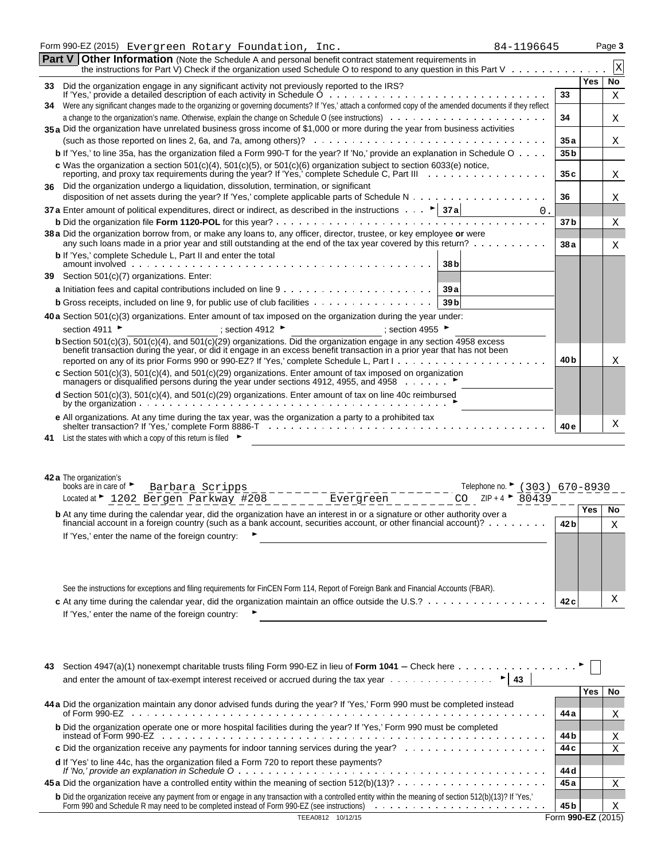|     | Form 990-EZ (2015) Evergreen Rotary Foundation, Inc.<br>84-1196645                                                                                                                                                                       |                 |            | Page 3    |
|-----|------------------------------------------------------------------------------------------------------------------------------------------------------------------------------------------------------------------------------------------|-----------------|------------|-----------|
|     | <b>Part V Other Information</b> (Note the Schedule A and personal benefit contract statement requirements in<br>the instructions for Part V) Check if the organization used Schedule O to respond to any question in this Part V $\dots$ |                 |            | $\rm X$   |
| 33. | Did the organization engage in any significant activity not previously reported to the IRS?                                                                                                                                              |                 | <b>Yes</b> | <b>No</b> |
|     | If 'Yes,' provide a detailed description of each activity in Schedule $\acute{O}$                                                                                                                                                        | 33              |            | X         |
| 34. | Were any significant changes made to the organizing or governing documents? If 'Yes,' attach a conformed copy of the amended documents if they reflect                                                                                   |                 |            |           |
|     |                                                                                                                                                                                                                                          | 34              |            | X         |
|     | 35 a Did the organization have unrelated business gross income of \$1,000 or more during the year from business activities                                                                                                               |                 |            |           |
|     |                                                                                                                                                                                                                                          | 35a             |            | Χ         |
|     | <b>b</b> If 'Yes,' to line 35a, has the organization filed a Form 990-T for the year? If 'No,' provide an explanation in Schedule O $\ldots$ .                                                                                           | 35 <sub>b</sub> |            |           |
|     | c Was the organization a section 501(c)(4), 501(c)(5), or 501(c)(6) organization subject to section 6033(e) notice,<br>reporting, and proxy tax requirements during the year? If 'Yes,' complete Schedule C, Part III                    | 35c             |            | X         |
| 36  | Did the organization undergo a liquidation, dissolution, termination, or significant                                                                                                                                                     |                 |            |           |
|     |                                                                                                                                                                                                                                          | 36              |            | Χ         |
|     | 37 a Enter amount of political expenditures, direct or indirect, as described in the instructions $\cdots$ >   37 a<br>$0$ .                                                                                                             |                 |            |           |
|     |                                                                                                                                                                                                                                          | 37b             |            | Χ         |
|     | 38 a Did the organization borrow from, or make any loans to, any officer, director, trustee, or key employee or were                                                                                                                     |                 |            |           |
|     | any such loans made in a prior year and still outstanding at the end of the tax year covered by this return?                                                                                                                             | 38a             |            | X         |
|     | <b>b</b> If 'Yes,' complete Schedule L, Part II and enter the total<br>38 <sub>b</sub>                                                                                                                                                   |                 |            |           |
|     | 39 Section 501(c)(7) organizations. Enter:                                                                                                                                                                                               |                 |            |           |
|     | 39a                                                                                                                                                                                                                                      |                 |            |           |
|     | <b>b</b> Gross receipts, included on line 9, for public use of club facilities<br>39 <sub>b</sub>                                                                                                                                        |                 |            |           |
|     | <b>40 a</b> Section $501(c)(3)$ organizations. Enter amount of tax imposed on the organization during the year under:                                                                                                                    |                 |            |           |
|     | section 4911 ▶<br>; section 4912<br>: section 4955 $\blacktriangleright$                                                                                                                                                                 |                 |            |           |
|     | <b>b</b> Section 501(c)(3), $\overline{501}$ (c)(4), and $\overline{501}$ (c)(29) organizations. Did the organization engage in any section 4958 excess                                                                                  |                 |            |           |
|     | benefit transaction during the year, or did it engage in an excess benefit transaction in a prior year that has not been                                                                                                                 |                 |            |           |
|     |                                                                                                                                                                                                                                          | 40 b            |            | Х         |
|     | c Section 501(c)(3), 501(c)(4), and 501(c)(29) organizations. Enter amount of tax imposed on organization<br>managers or disqualified persons during the year under sections 4912, 4955, and 4958                                        |                 |            |           |
|     | d Section 501(c)(3), 501(c)(4), and 501(c)(29) organizations. Enter amount of tax on line 40c reimbursed                                                                                                                                 |                 |            |           |
|     | e All organizations. At any time during the tax year, was the organization a party to a prohibited tax                                                                                                                                   | 40 e            |            | Χ         |
| 41. | List the states with which a copy of this return is filed                                                                                                                                                                                |                 |            |           |
|     | 42 a The organization's                                                                                                                                                                                                                  |                 |            |           |

| i≞ a moorganization ∍<br>books are in care of $\blacktriangleright$                                                              |                                                                                                                                  |  | Barbara Scripps                       |  |                                                                                                                                        |           |  |    | Telephone no. ► | 303) 670-8930 |  |  |  |
|----------------------------------------------------------------------------------------------------------------------------------|----------------------------------------------------------------------------------------------------------------------------------|--|---------------------------------------|--|----------------------------------------------------------------------------------------------------------------------------------------|-----------|--|----|-----------------|---------------|--|--|--|
|                                                                                                                                  |                                                                                                                                  |  | Located at ► 1202 Bergen Parkway #208 |  |                                                                                                                                        | Evergreen |  | CO | $ZIP + 4$       | 80439         |  |  |  |
|                                                                                                                                  | <b>b</b> At any time during the calendar year, did the organization have an interest in or a signature or other authority over a |  |                                       |  |                                                                                                                                        |           |  |    | Yes             | No            |  |  |  |
| financial account in a foreign country (such as a bank account, securities account, or other financial account)? $\ldots \ldots$ |                                                                                                                                  |  |                                       |  |                                                                                                                                        |           |  |    | 42 bl           |               |  |  |  |
| If 'Yes,' enter the name of the foreign country:                                                                                 |                                                                                                                                  |  |                                       |  |                                                                                                                                        |           |  |    |                 |               |  |  |  |
|                                                                                                                                  |                                                                                                                                  |  |                                       |  |                                                                                                                                        |           |  |    |                 |               |  |  |  |
|                                                                                                                                  |                                                                                                                                  |  |                                       |  |                                                                                                                                        |           |  |    |                 |               |  |  |  |
|                                                                                                                                  |                                                                                                                                  |  |                                       |  |                                                                                                                                        |           |  |    |                 |               |  |  |  |
|                                                                                                                                  |                                                                                                                                  |  |                                       |  | See the instructions for exceptions and filing requirements for FinCEN Form 114, Report of Foreign Bank and Financial Accounts (FBAR). |           |  |    |                 |               |  |  |  |
|                                                                                                                                  |                                                                                                                                  |  |                                       |  |                                                                                                                                        |           |  |    |                 | 42 c          |  |  |  |

|  |  |  | If 'Yes,' enter the name of the foreign country: |  |
|--|--|--|--------------------------------------------------|--|
|  |  |  |                                                  |  |

| 43                 | Section 4947(a)(1) nonexempt charitable trusts filing Form 990-EZ in lieu of Form 1041 – Check here $\dots \dots \dots \dots \dots$                                                                                                    |      |     |    |  |  |  |
|--------------------|----------------------------------------------------------------------------------------------------------------------------------------------------------------------------------------------------------------------------------------|------|-----|----|--|--|--|
|                    | and enter the amount of tax-exempt interest received or accrued during the tax year $\dots \dots \dots \dots$                                                                                                                          |      |     |    |  |  |  |
|                    |                                                                                                                                                                                                                                        |      | Yes | No |  |  |  |
|                    | 44 a Did the organization maintain any donor advised funds during the year? If 'Yes,' Form 990 must be completed instead                                                                                                               |      |     |    |  |  |  |
|                    |                                                                                                                                                                                                                                        | 44 a |     | A  |  |  |  |
|                    | <b>b</b> Did the organization operate one or more hospital facilities during the year? If 'Yes,' Form 990 must be completed                                                                                                            |      |     |    |  |  |  |
|                    |                                                                                                                                                                                                                                        | 44 b |     | X  |  |  |  |
|                    |                                                                                                                                                                                                                                        | 44 c |     |    |  |  |  |
|                    | d If 'Yes' to line 44c, has the organization filed a Form 720 to report these payments?                                                                                                                                                |      |     |    |  |  |  |
|                    |                                                                                                                                                                                                                                        | 44 d |     |    |  |  |  |
|                    |                                                                                                                                                                                                                                        | 45 a |     |    |  |  |  |
|                    |                                                                                                                                                                                                                                        |      |     |    |  |  |  |
|                    | <b>b</b> Did the organization receive any payment from or engage in any transaction with a controlled entity within the meaning of section 512(b)(13)? If 'Yes,'<br>Form 990 and Schedule R may need to be completed instead of Form 9 | 45 b |     | Χ  |  |  |  |
| Form 990-EZ (2015) |                                                                                                                                                                                                                                        |      |     |    |  |  |  |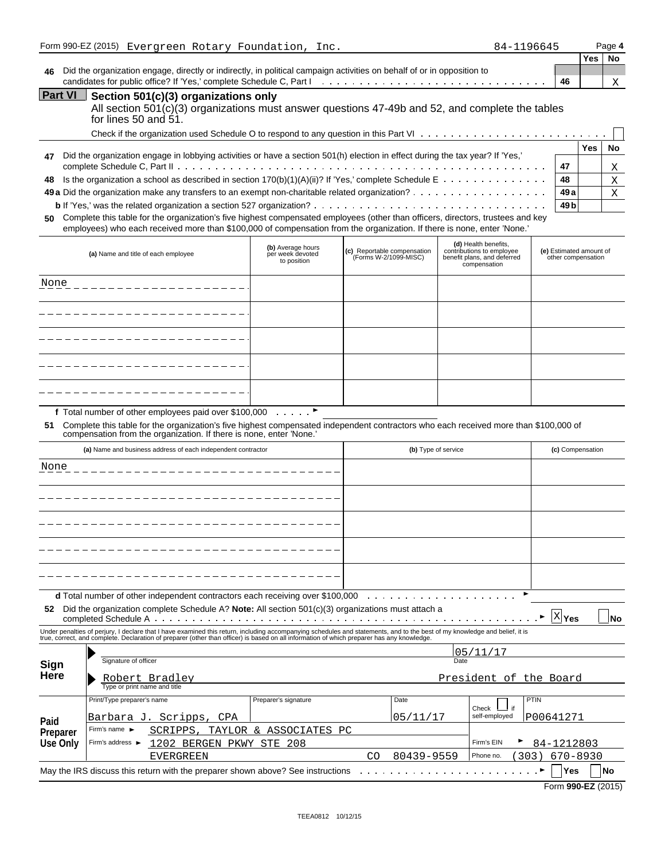|                                                                                                                                                                                         | Form 990-EZ (2015) Evergreen Rotary Foundation, Inc.<br>84-1196645                                                                                                                                                                                         |                                                       |                      |                         |            |     |  |  |  |
|-----------------------------------------------------------------------------------------------------------------------------------------------------------------------------------------|------------------------------------------------------------------------------------------------------------------------------------------------------------------------------------------------------------------------------------------------------------|-------------------------------------------------------|----------------------|-------------------------|------------|-----|--|--|--|
|                                                                                                                                                                                         |                                                                                                                                                                                                                                                            |                                                       |                      |                         | Yes        | No. |  |  |  |
| Did the organization engage, directly or indirectly, in political campaign activities on behalf of or in opposition to<br>46                                                            |                                                                                                                                                                                                                                                            |                                                       |                      |                         |            |     |  |  |  |
|                                                                                                                                                                                         |                                                                                                                                                                                                                                                            |                                                       |                      | 46                      |            | Χ   |  |  |  |
| <b>Part VI</b><br>Section 501(c)(3) organizations only<br>All section 501(c)(3) organizations must answer questions 47-49b and 52, and complete the tables<br>for lines $50$ and $51$ . |                                                                                                                                                                                                                                                            |                                                       |                      |                         |            |     |  |  |  |
|                                                                                                                                                                                         |                                                                                                                                                                                                                                                            |                                                       |                      |                         |            |     |  |  |  |
| Did the organization engage in lobbying activities or have a section 501(h) election in effect during the tax year? If 'Yes,'<br>47                                                     |                                                                                                                                                                                                                                                            |                                                       |                      |                         | <b>Yes</b> | No. |  |  |  |
|                                                                                                                                                                                         |                                                                                                                                                                                                                                                            |                                                       |                      | 47                      |            | X   |  |  |  |
| 48                                                                                                                                                                                      |                                                                                                                                                                                                                                                            |                                                       |                      | 48                      |            | X   |  |  |  |
|                                                                                                                                                                                         |                                                                                                                                                                                                                                                            |                                                       |                      | 49 al                   |            | X   |  |  |  |
|                                                                                                                                                                                         |                                                                                                                                                                                                                                                            |                                                       |                      | 49 <sub>b</sub>         |            |     |  |  |  |
| 50                                                                                                                                                                                      | Complete this table for the organization's five highest compensated employees (other than officers, directors, trustees and key<br>employees) who each received more than \$100,000 of compensation from the organization. If there is none, enter 'None.' |                                                       |                      |                         |            |     |  |  |  |
|                                                                                                                                                                                         | (b) Average hours                                                                                                                                                                                                                                          | (c) Reportable compensation contributions to employee | (d) Health benefits, | (e) Estimated amount of |            |     |  |  |  |

|      | (a) Name and title of each employee | (b) Average hours<br>per week devoted<br>to position | (c) Reportable compensation<br>(Forms W-2/1099-MISC) | (d) Health benefits,<br>contributions to employee<br>benefit plans, and deferred<br>compensation | (e) Estimated amount of<br>other compensation |
|------|-------------------------------------|------------------------------------------------------|------------------------------------------------------|--------------------------------------------------------------------------------------------------|-----------------------------------------------|
| None |                                     |                                                      |                                                      |                                                                                                  |                                               |
|      |                                     |                                                      |                                                      |                                                                                                  |                                               |
|      |                                     |                                                      |                                                      |                                                                                                  |                                               |
|      |                                     |                                                      |                                                      |                                                                                                  |                                               |
|      |                                     |                                                      |                                                      |                                                                                                  |                                               |

f Total number of other employees paid over \$100,000  $\ldots$ 

**51** Complete this table for the organization's five highest compensated independent contractors who each received more than \$100,000 of compensation from the organization. If there is none, enter 'None.'

|                                                                                                                                                                                                                                                                                                                          | (a) Name and business address of each independent contractor                                        |                      |                | (b) Type of service | (c) Compensation       |                                              |  |  |
|--------------------------------------------------------------------------------------------------------------------------------------------------------------------------------------------------------------------------------------------------------------------------------------------------------------------------|-----------------------------------------------------------------------------------------------------|----------------------|----------------|---------------------|------------------------|----------------------------------------------|--|--|
| None                                                                                                                                                                                                                                                                                                                     |                                                                                                     |                      |                |                     |                        |                                              |  |  |
|                                                                                                                                                                                                                                                                                                                          |                                                                                                     |                      |                |                     |                        |                                              |  |  |
|                                                                                                                                                                                                                                                                                                                          |                                                                                                     |                      |                |                     |                        |                                              |  |  |
|                                                                                                                                                                                                                                                                                                                          |                                                                                                     |                      |                |                     |                        |                                              |  |  |
|                                                                                                                                                                                                                                                                                                                          |                                                                                                     |                      |                |                     |                        |                                              |  |  |
|                                                                                                                                                                                                                                                                                                                          | d Total number of other independent contractors each receiving over \$100,000                       |                      |                |                     |                        |                                              |  |  |
| 52                                                                                                                                                                                                                                                                                                                       | Did the organization complete Schedule A? Note: All section $501(c)(3)$ organizations must attach a |                      |                |                     |                        | $\blacktriangleright$ $ X $ Yes<br><b>No</b> |  |  |
| Under penalties of perjury, I declare that I have examined this return, including accompanying schedules and statements, and to the best of my knowledge and belief, it is<br>true, correct, and complete. Declaration of preparer (other than officer) is based on all information of which preparer has any knowledge. |                                                                                                     |                      |                |                     |                        |                                              |  |  |
|                                                                                                                                                                                                                                                                                                                          | 05/11/17                                                                                            |                      |                |                     |                        |                                              |  |  |
| Signature of officer<br>Sign                                                                                                                                                                                                                                                                                             |                                                                                                     |                      |                | Date                |                        |                                              |  |  |
| Here                                                                                                                                                                                                                                                                                                                     | Robert Bradley                                                                                      |                      |                |                     | President of the Board |                                              |  |  |
| Type or print name and title                                                                                                                                                                                                                                                                                             |                                                                                                     |                      |                |                     |                        |                                              |  |  |
| Print/Type preparer's name                                                                                                                                                                                                                                                                                               |                                                                                                     | Preparer's signature |                | Date                | Check                  | PTIN                                         |  |  |
| Paid                                                                                                                                                                                                                                                                                                                     | Barbara J. Scripps, CPA                                                                             |                      |                | 05/11/17            | self-employed          | P00641271                                    |  |  |
| Firm's name $\blacktriangleright$<br>Preparer                                                                                                                                                                                                                                                                            | TAYLOR & ASSOCIATES PC<br>SCRIPPS,                                                                  |                      |                |                     |                        |                                              |  |  |
| Use Only<br>Firm's address ►                                                                                                                                                                                                                                                                                             | 1202 BERGEN PKWY STE 208                                                                            |                      |                |                     |                        | Firm's EIN<br>84-1212803                     |  |  |
|                                                                                                                                                                                                                                                                                                                          | <b>EVERGREEN</b>                                                                                    |                      | C <sub>O</sub> | 80439-9559          | Phone no.              | 670-8930<br>303)                             |  |  |
| May the IRS discuss this return with the preparer shown above? See instructions                                                                                                                                                                                                                                          |                                                                                                     |                      |                |                     |                        | <b>No</b><br>Yes                             |  |  |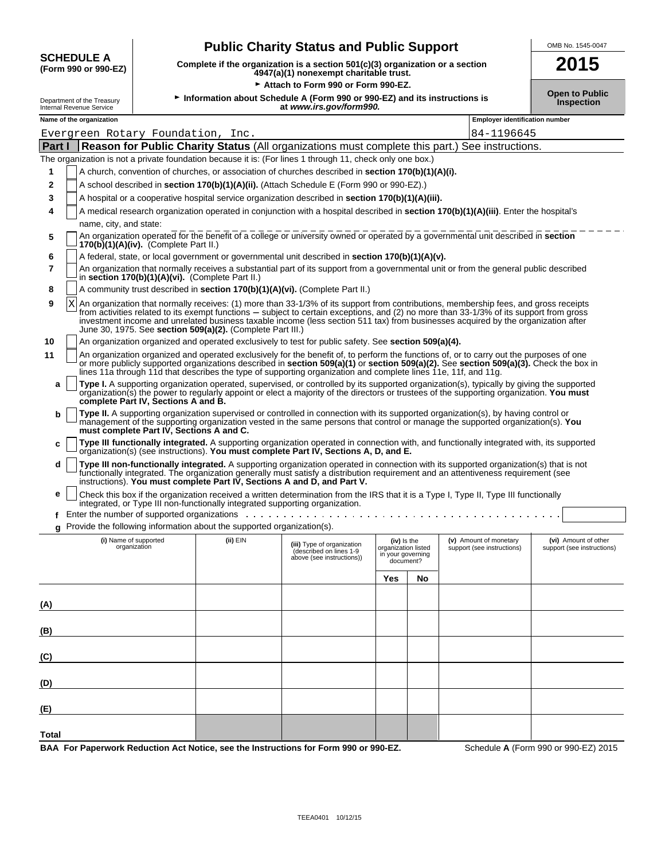|              | <b>Public Charity Status and Public Support</b>        |                                                                                                                                                                                                                                                                                                                                                                                                                                                                                    | OMB No. 1545-0047                     |                                            |  |
|--------------|--------------------------------------------------------|------------------------------------------------------------------------------------------------------------------------------------------------------------------------------------------------------------------------------------------------------------------------------------------------------------------------------------------------------------------------------------------------------------------------------------------------------------------------------------|---------------------------------------|--------------------------------------------|--|
|              | <b>SCHEDULE A</b><br>(Form 990 or 990-EZ)              | Complete if the organization is a section $501(c)(3)$ organization or a section<br>4947(a)(1) nonexempt charitable trust.                                                                                                                                                                                                                                                                                                                                                          |                                       | 2015                                       |  |
|              |                                                        | Attach to Form 990 or Form 990-EZ.                                                                                                                                                                                                                                                                                                                                                                                                                                                 |                                       |                                            |  |
|              | Department of the Treasury<br>Internal Revenue Service | ► Information about Schedule A (Form 990 or 990-EZ) and its instructions is<br>at www.irs.gov/form990.                                                                                                                                                                                                                                                                                                                                                                             |                                       | <b>Open to Public</b><br><b>Inspection</b> |  |
|              | Name of the organization                               |                                                                                                                                                                                                                                                                                                                                                                                                                                                                                    | <b>Employer identification number</b> |                                            |  |
|              |                                                        | Evergreen Rotary Foundation, Inc.                                                                                                                                                                                                                                                                                                                                                                                                                                                  | 84-1196645                            |                                            |  |
| Part I       |                                                        | Reason for Public Charity Status (All organizations must complete this part.)                                                                                                                                                                                                                                                                                                                                                                                                      | See instructions.                     |                                            |  |
|              |                                                        | The organization is not a private foundation because it is: (For lines 1 through 11, check only one box.)                                                                                                                                                                                                                                                                                                                                                                          |                                       |                                            |  |
|              |                                                        | A church, convention of churches, or association of churches described in section 170(b)(1)(A)(i).                                                                                                                                                                                                                                                                                                                                                                                 |                                       |                                            |  |
| $\mathbf{2}$ |                                                        | A school described in section 170(b)(1)(A)(ii). (Attach Schedule E (Form 990 or 990-EZ).)                                                                                                                                                                                                                                                                                                                                                                                          |                                       |                                            |  |
| 3            |                                                        | A hospital or a cooperative hospital service organization described in section 170(b)(1)(A)(iii).                                                                                                                                                                                                                                                                                                                                                                                  |                                       |                                            |  |
| 4            |                                                        | A medical research organization operated in conjunction with a hospital described in section 170(b)(1)(A)(iii). Enter the hospital's                                                                                                                                                                                                                                                                                                                                               |                                       |                                            |  |
|              | name, city, and state:                                 |                                                                                                                                                                                                                                                                                                                                                                                                                                                                                    |                                       |                                            |  |
| 5            |                                                        | An organization operated for the benefit of a college or university owned or operated by a governmental unit described in section<br>$170(b)(1)(A)(iv)$ . (Complete Part II.)                                                                                                                                                                                                                                                                                                      |                                       |                                            |  |
| 6            |                                                        | A federal, state, or local government or governmental unit described in section 170(b)(1)(A)(v).                                                                                                                                                                                                                                                                                                                                                                                   |                                       |                                            |  |
| 7            |                                                        | An organization that normally receives a substantial part of its support from a governmental unit or from the general public described<br>in section $170(b)(1)(A)(vi)$ . (Complete Part II.)                                                                                                                                                                                                                                                                                      |                                       |                                            |  |
| 8            |                                                        | A community trust described in section 170(b)(1)(A)(vi). (Complete Part II.)                                                                                                                                                                                                                                                                                                                                                                                                       |                                       |                                            |  |
| 9            | X                                                      | An organization that normally receives: (1) more than 33-1/3% of its support from contributions, membership fees, and gross receipts<br>from activities related to its exempt functions - subject to certain exceptions, and (2) no more than 33-1/3% of its support from gross<br>investment income and unrelated business taxable income (less section 511 tax) from businesses acquired by the organization after<br>June 30, 1975. See section 509(a)(2). (Complete Part III.) |                                       |                                            |  |
| 10           |                                                        | An organization organized and operated exclusively to test for public safety. See section 509(a)(4).                                                                                                                                                                                                                                                                                                                                                                               |                                       |                                            |  |
| 11           |                                                        | An organization organized and operated exclusively for the benefit of, to perform the functions of, or to carry out the purposes of one<br>or more publicly supported organizations described in section 509(a)(1) or section 509(a)(2). See section 509(a)(3). Check the box in<br>lines 11a through 11d that describes the type of supporting organization and complete lines 11e, 11f, and 11g.                                                                                 |                                       |                                            |  |
| a            |                                                        | Type I. A supporting organization operated, supervised, or controlled by its supported organization(s), typically by giving the supported<br>organization(s) the power to regularly appoint or elect a majority of the directors or trustees of the supporting organization. You must                                                                                                                                                                                              |                                       |                                            |  |

**b** | Type II. A supporting organization supervised or controlled in connection with its supported organization(s), by having control or<br>management of the supporting organization vested in the same persons that control or

**e** | Check this box if the organization received a written determination from the IRS that it is a Type I, Type II, Type III functionally

**f** Enter the number of supported organizations

C | Type III functionally integrated. A supporting organization operated in connection with, and functionally integrated with, its supported<br>organization(s) (see instructions). You must complete Part IV, Sections A, D, and **d Type III non-functionally integrated.** A supporting organization operated in connection with its supported organization(s) that is not functionally integrated. The organization generally must satisfy a distribution requirement and an attentiveness requirement (see

**complete Part IV, Sections A and B.**

**must complete Part IV, Sections A and C.**

instructions). **You must complete Part IV, Sections A and D, and Part V.**

integrated, or Type III non-functionally integrated supporting organization.

|       | g Provide the following information about the supported organization(s). |          |                                                                                      |                                                                      |    |                                                      |                                                    |  |  |  |  |  |
|-------|--------------------------------------------------------------------------|----------|--------------------------------------------------------------------------------------|----------------------------------------------------------------------|----|------------------------------------------------------|----------------------------------------------------|--|--|--|--|--|
|       | (i) Name of supported<br>organization                                    | (ii) EIN | (iii) Type of organization<br>(described on lines 1-9<br>above (see instructions))   | (iv) Is the<br>organization listed<br>in your governing<br>document? |    | (v) Amount of monetary<br>support (see instructions) | (vi) Amount of other<br>support (see instructions) |  |  |  |  |  |
|       |                                                                          |          |                                                                                      | <b>Yes</b>                                                           | No |                                                      |                                                    |  |  |  |  |  |
| (A)   |                                                                          |          |                                                                                      |                                                                      |    |                                                      |                                                    |  |  |  |  |  |
| (B)   |                                                                          |          |                                                                                      |                                                                      |    |                                                      |                                                    |  |  |  |  |  |
| (C)   |                                                                          |          |                                                                                      |                                                                      |    |                                                      |                                                    |  |  |  |  |  |
| (D)   |                                                                          |          |                                                                                      |                                                                      |    |                                                      |                                                    |  |  |  |  |  |
| (E)   |                                                                          |          |                                                                                      |                                                                      |    |                                                      |                                                    |  |  |  |  |  |
| Total |                                                                          |          |                                                                                      |                                                                      |    |                                                      |                                                    |  |  |  |  |  |
|       |                                                                          |          | BAA For Paperwork Reduction Act Notice, see the Instructions for Form 990 or 990-EZ. |                                                                      |    |                                                      | Schedule A (Form 990 or 990-EZ) 2015               |  |  |  |  |  |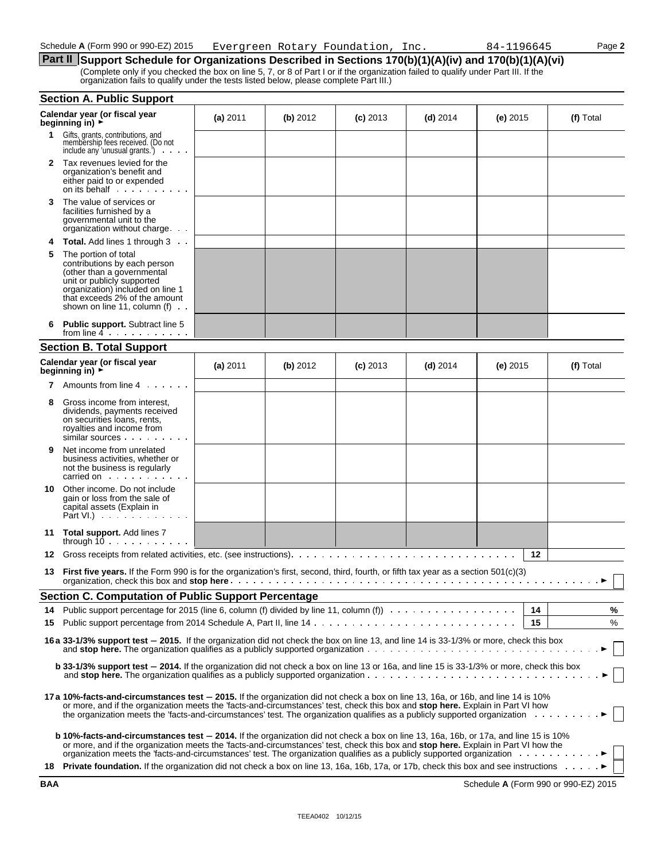## **Part II** Support Schedule for Organizations Described in Sections 170(b)(1)(A)(iv) and 170(b)(1)(A)(vi) (Complete only if you checked the box on line 5, 7, or 8 of Part I or if the organization failed to qualify under Part III. If the

organization fails to qualify under the tests listed below, please complete Part III.)

|    | <b>Section A. Public Support</b>                                                                                                                                                                                                                                                                                                                                                                  |          |            |            |            |            |           |
|----|---------------------------------------------------------------------------------------------------------------------------------------------------------------------------------------------------------------------------------------------------------------------------------------------------------------------------------------------------------------------------------------------------|----------|------------|------------|------------|------------|-----------|
|    | Calendar year (or fiscal year<br>beginning in) $\rightarrow$                                                                                                                                                                                                                                                                                                                                      | (a) 2011 | (b) $2012$ | $(c)$ 2013 | (d) $2014$ | (e) $2015$ | (f) Total |
| 1. | Gifts, grants, contributions, and<br>membership fees received. (Do not<br>include any 'unusual grants.')<br>$\mathcal{L}^{\mathcal{L}}$ and $\mathcal{L}^{\mathcal{L}}$ and $\mathcal{L}^{\mathcal{L}}$                                                                                                                                                                                           |          |            |            |            |            |           |
|    | 2 Tax revenues levied for the<br>organization's benefit and<br>either paid to or expended                                                                                                                                                                                                                                                                                                         |          |            |            |            |            |           |
| 3  | The value of services or<br>facilities furnished by a<br>governmental unit to the<br>organization without charge                                                                                                                                                                                                                                                                                  |          |            |            |            |            |           |
|    | Total. Add lines 1 through 3                                                                                                                                                                                                                                                                                                                                                                      |          |            |            |            |            |           |
| 5  | The portion of total<br>contributions by each person<br>(other than a governmental<br>unit or publicly supported<br>organization) included on line 1<br>that exceeds 2% of the amount<br>shown on line 11, column (f) $\ldots$                                                                                                                                                                    |          |            |            |            |            |           |
|    | <b>Public support.</b> Subtract line 5<br>from line $4 \cdot \cdot \cdot \cdot \cdot \cdot$                                                                                                                                                                                                                                                                                                       |          |            |            |            |            |           |
|    | <b>Section B. Total Support</b>                                                                                                                                                                                                                                                                                                                                                                   |          |            |            |            |            |           |
|    | Calendar year (or fiscal year<br>beginning in) $\rightarrow$                                                                                                                                                                                                                                                                                                                                      | (a) 2011 | (b) $2012$ | $(c)$ 2013 | $(d)$ 2014 | $(e)$ 2015 | (f) Total |
| 7  | Amounts from line 4                                                                                                                                                                                                                                                                                                                                                                               |          |            |            |            |            |           |
| 8  | Gross income from interest,<br>dividends, payments received<br>on securities loans, rents,<br>royalties and income from<br>similar sources                                                                                                                                                                                                                                                        |          |            |            |            |            |           |
| 9  | Net income from unrelated<br>business activities, whether or<br>not the business is regularly<br>carried on example and the carried on the set of the set of the set of the set of the set of the set of the set of the set of the set of the set of the set of the set of the set of the set of the set of the set of the set                                                                    |          |            |            |            |            |           |
| 10 | Other income. Do not include<br>gain or loss from the sale of<br>capital assets (Explain in<br>Part VI.) $\cdots$ $\cdots$                                                                                                                                                                                                                                                                        |          |            |            |            |            |           |
|    | 11 Total support. Add lines 7<br>through $10 \ldots \ldots$                                                                                                                                                                                                                                                                                                                                       |          |            |            |            |            |           |
| 12 |                                                                                                                                                                                                                                                                                                                                                                                                   |          |            |            |            | 12         |           |
| 13 | First five years. If the Form 990 is for the organization's first, second, third, fourth, or fifth tax year as a section 501(c)(3)                                                                                                                                                                                                                                                                |          |            |            |            |            |           |
|    | <b>Section C. Computation of Public Support Percentage</b>                                                                                                                                                                                                                                                                                                                                        |          |            |            |            |            |           |
| 14 |                                                                                                                                                                                                                                                                                                                                                                                                   |          |            |            |            | 14         | %         |
| 15 |                                                                                                                                                                                                                                                                                                                                                                                                   |          |            |            |            | 15         | %         |
|    | 16 a 33-1/3% support test - 2015. If the organization did not check the box on line 13, and line 14 is 33-1/3% or more, check this box                                                                                                                                                                                                                                                            |          |            |            |            |            |           |
|    | <b>b 33-1/3% support test – 2014.</b> If the organization did not check a box on line 13 or 16a, and line 15 is 33-1/3% or more, check this box                                                                                                                                                                                                                                                   |          |            |            |            |            |           |
|    | 17a 10%-facts-and-circumstances test – 2015. If the organization did not check a box on line 13, 16a, or 16b, and line 14 is 10%<br>or more, and if the organization meets the 'facts-and-circumstances' test, check this box and stop here. Explain in Part VI how<br>the organization meets the 'facts-and-circumstances' test. The organization qualifies as a publicly supported organization |          |            |            |            |            |           |
|    | <b>b 10%-facts-and-circumstances test – 2014.</b> If the organization did not check a box on line 13, 16a, 16b, or 17a, and line 15 is 10%<br>or more, and if the organization meets the 'facts-and-circumstances' test, check this box and <b>stop here.</b> Explain in Part VI how the                                                                                                          |          |            |            |            |            |           |
|    | 18 Private foundation. If the organization did not check a box on line 13, 16a, 16b, 17a, or 17b, check this box and see instructions ▶                                                                                                                                                                                                                                                           |          |            |            |            |            |           |

**BAA** Schedule **A** (Form 990 or 990-EZ) 2015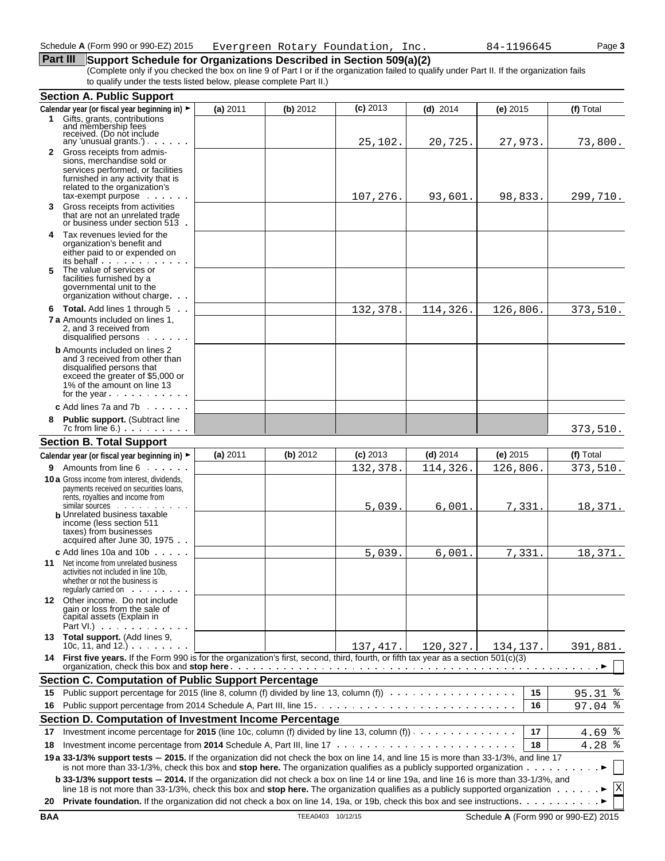## **Part III** Support Schedule for Organizations Described in Section 509(a)(2)

(Complete only if you checked the box on line 9 of Part I or if the organization failed to qualify under Part II. If the organization fails to qualify under the tests listed below, please complete Part II.)

|    | <b>Section A. Public Support</b>                                                                                                                                                                                                                                                         |          |          |            |            |            |    |              |
|----|------------------------------------------------------------------------------------------------------------------------------------------------------------------------------------------------------------------------------------------------------------------------------------------|----------|----------|------------|------------|------------|----|--------------|
|    | Calendar year (or fiscal year beginning in) ►                                                                                                                                                                                                                                            | (a) 2011 | (b) 2012 | $(c)$ 2013 | $(d)$ 2014 | $(e)$ 2015 |    | (f) Total    |
|    | 1 Gifts, grants, contributions<br>and membership fees<br>received. (Do not include                                                                                                                                                                                                       |          |          |            |            |            |    |              |
|    | any 'unusual grants') $\cdots$<br>2 Gross receipts from admis-                                                                                                                                                                                                                           |          |          | 25,102.    | 20,725.    | 27,973.    |    | 73,800.      |
|    | sions, merchandise sold or<br>services performed, or facilities<br>furnished in any activity that is<br>related to the organization's<br>tax-exempt purpose                                                                                                                              |          |          | 107,276.   | 93,601.    | 98,833.    |    | 299,710.     |
| 3  | Gross receipts from activities<br>that are not an unrelated trade<br>or business under section 513.                                                                                                                                                                                      |          |          |            |            |            |    |              |
| 5  | 4 Tax revenues levied for the<br>organization's benefit and<br>either paid to or expended on<br>its behalf<br>The value of services or<br>facilities furnished by a                                                                                                                      |          |          |            |            |            |    |              |
|    | governmental unit to the<br>organization without charge.                                                                                                                                                                                                                                 |          |          |            |            |            |    |              |
|    | 6 Total. Add lines 1 through 5                                                                                                                                                                                                                                                           |          |          | 132,378.   | 114,326.   | 126,806.   |    | 373,510.     |
|    | <b>7 a</b> Amounts included on lines 1,<br>2, and 3 received from<br>disqualified persons                                                                                                                                                                                                |          |          |            |            |            |    |              |
|    | <b>b</b> Amounts included on lines 2<br>and 3 received from other than<br>disqualified persons that<br>exceed the greater of \$5,000 or<br>1% of the amount on line 13<br>for the year                                                                                                   |          |          |            |            |            |    |              |
|    | c Add lines 7a and 7b $\ldots$                                                                                                                                                                                                                                                           |          |          |            |            |            |    |              |
|    | 8 Public support. (Subtract line<br>$7c$ from line 6.) $\ldots$ $\ldots$                                                                                                                                                                                                                 |          |          |            |            |            |    | 373,510.     |
|    | <b>Section B. Total Support</b>                                                                                                                                                                                                                                                          |          |          |            |            |            |    |              |
|    | Calendar year (or fiscal year beginning in) ►                                                                                                                                                                                                                                            | (a) 2011 | (b) 2012 | $(c)$ 2013 | $(d)$ 2014 | $(e)$ 2015 |    | (f) Total    |
|    | 9 Amounts from line 6                                                                                                                                                                                                                                                                    |          |          | 132,378.   | 114,326.   | 126,806.   |    | 373,510.     |
|    | <b>10 a</b> Gross income from interest, dividends,<br>payments received on securities loans,<br>rents, royalties and income from<br>similar sources<br><b>b</b> Unrelated business taxable<br>income (less section 511<br>taxes) from businesses<br>acquired after June 30, 1975.        |          |          | 5,039.     | 6,001      | 7,331.     |    | 18,371.      |
|    | c Add lines 10a and 10b $\cdots$                                                                                                                                                                                                                                                         |          |          | 5.039.     | 6,001.     | 7,331.     |    | 18,371.      |
| 11 | Net income from unrelated business<br>activities not included in line 10b,<br>whether or not the business is<br>requiarly carried on example.                                                                                                                                            |          |          |            |            |            |    |              |
|    | 12 Other income. Do not include<br>gain or loss from the sale of<br>capital assets (Explain in<br>Part VI.) $\cdots$                                                                                                                                                                     |          |          |            |            |            |    |              |
|    | 13 Total support. (Add lines 9,<br>10c, 11, and 12.) $\cdots$                                                                                                                                                                                                                            |          |          | 137, 417.  | 120, 327.  | 134,137.   |    | 391,881.     |
|    | 14 First five years. If the Form 990 is for the organization's first, second, third, fourth, or fifth tax year as a section 501(c)(3)                                                                                                                                                    |          |          |            |            |            |    |              |
|    | <b>Section C. Computation of Public Support Percentage</b>                                                                                                                                                                                                                               |          |          |            |            |            |    |              |
| 15 | Public support percentage for 2015 (line 8, column (f) divided by line 13, column (f))                                                                                                                                                                                                   |          |          |            |            |            | 15 | $95.31$ %    |
| 16 |                                                                                                                                                                                                                                                                                          |          |          |            |            |            | 16 | $97.04$ %    |
|    | Section D. Computation of Investment Income Percentage                                                                                                                                                                                                                                   |          |          |            |            |            |    |              |
| 17 | Investment income percentage for 2015 (line 10c, column (f) divided by line 13, column (f)) $\cdots$                                                                                                                                                                                     |          |          |            |            |            | 17 | $4.69$ %     |
| 18 |                                                                                                                                                                                                                                                                                          |          |          |            |            |            | 18 | $4.28$ %     |
|    | 19 a 33-1/3% support tests - 2015. If the organization did not check the box on line 14, and line 15 is more than 33-1/3%, and line 17<br>is not more than 33-1/3%, check this box and stop here. The organization qualifies as a publicly supported organization $\cdots \cdots \cdots$ |          |          |            |            |            |    |              |
|    | b 33-1/3% support tests - 2014. If the organization did not check a box on line 14 or line 19a, and line 16 is more than 33-1/3%, and<br>line 18 is not more than 33-1/3%, check this box and stop here. The organization qualifies as a publicly supported organization $\dots \dots$   |          |          |            |            |            |    | $\mathbf{X}$ |
| 20 |                                                                                                                                                                                                                                                                                          |          |          |            |            |            |    |              |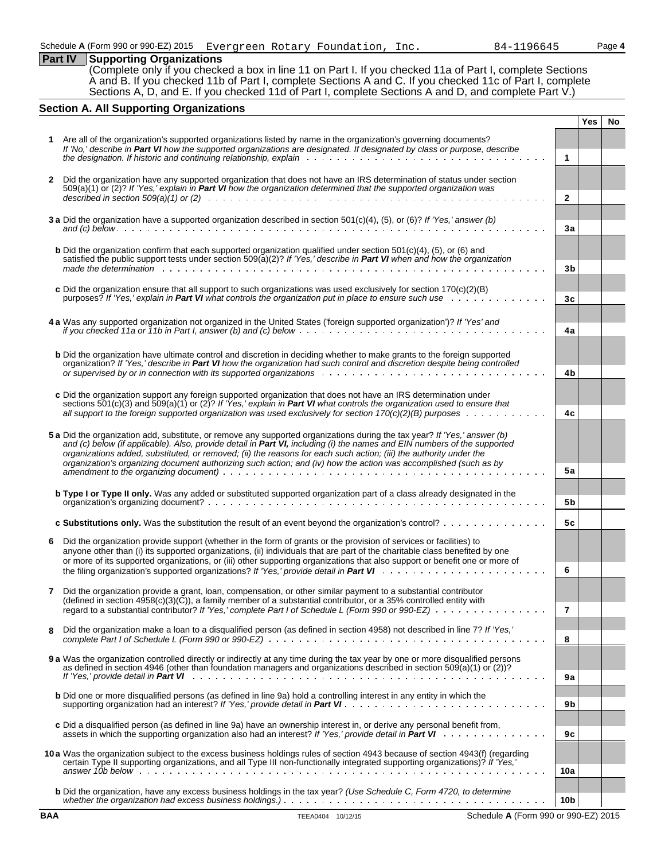## **Part IV Supporting Organizations**

(Complete only if you checked a box in line 11 on Part I. If you checked 11a of Part I, complete Sections A and B. If you checked 11b of Part I, complete Sections A and C. If you checked 11c of Part I, complete Sections A, D, and E. If you checked 11d of Part I, complete Sections A and D, and complete Part V.)

## **Section A. All Supporting Organizations**

|              |                                                                                                                                                                                                                                                                                                                                                                                                                                                                                                 |                 | Yes | No |
|--------------|-------------------------------------------------------------------------------------------------------------------------------------------------------------------------------------------------------------------------------------------------------------------------------------------------------------------------------------------------------------------------------------------------------------------------------------------------------------------------------------------------|-----------------|-----|----|
|              | Are all of the organization's supported organizations listed by name in the organization's governing documents?                                                                                                                                                                                                                                                                                                                                                                                 |                 |     |    |
|              | If 'No,' describe in Part VI how the supported organizations are designated. If designated by class or purpose, describe                                                                                                                                                                                                                                                                                                                                                                        |                 |     |    |
|              |                                                                                                                                                                                                                                                                                                                                                                                                                                                                                                 | $\mathbf{1}$    |     |    |
| $\mathbf{2}$ | Did the organization have any supported organization that does not have an IRS determination of status under section<br>509(a)(1) or (2)? If 'Yes,' explain in Part VI how the organization determined that the supported organization was                                                                                                                                                                                                                                                      |                 |     |    |
|              |                                                                                                                                                                                                                                                                                                                                                                                                                                                                                                 | $\overline{2}$  |     |    |
|              | 3 a Did the organization have a supported organization described in section $501(c)(4)$ , (5), or (6)? If 'Yes,' answer (b)                                                                                                                                                                                                                                                                                                                                                                     |                 |     |    |
|              |                                                                                                                                                                                                                                                                                                                                                                                                                                                                                                 | 3a              |     |    |
|              | <b>b</b> Did the organization confirm that each supported organization qualified under section $501(c)(4)$ , $(5)$ , or $(6)$ and<br>satisfied the public support tests under section 509(a)(2)? If 'Yes,' describe in Part VI when and how the organization                                                                                                                                                                                                                                    | 3b              |     |    |
|              |                                                                                                                                                                                                                                                                                                                                                                                                                                                                                                 |                 |     |    |
|              | c Did the organization ensure that all support to such organizations was used exclusively for section $170(c)(2)(B)$<br>purposes? If 'Yes,' explain in Part VI what controls the organization put in place to ensure such use                                                                                                                                                                                                                                                                   | 3c              |     |    |
|              | 4 a Was any supported organization not organized in the United States ('foreign supported organization')? If 'Yes' and                                                                                                                                                                                                                                                                                                                                                                          | 4a              |     |    |
|              | <b>b</b> Did the organization have ultimate control and discretion in deciding whether to make grants to the foreign supported<br>organization? If 'Yes,' describe in Part VI how the organization had such control and discretion despite being controlled                                                                                                                                                                                                                                     | 4b              |     |    |
|              | c Did the organization support any foreign supported organization that does not have an IRS determination under<br>sections $501(c)(3)$ and $509(a)(1)$ or $(2)$ ? If 'Yes,' explain in Part VI what controls the organization used to ensure that                                                                                                                                                                                                                                              |                 |     |    |
|              | all support to the foreign supported organization was used exclusively for section $170(c)(2)(B)$ purposes $\ldots \ldots \ldots$                                                                                                                                                                                                                                                                                                                                                               | 4c              |     |    |
|              | 5 a Did the organization add, substitute, or remove any supported organizations during the tax year? If 'Yes,' answer (b)<br>and (c) below (if applicable). Also, provide detail in Part VI, including (i) the names and EIN numbers of the supported<br>organizations added, substituted, or removed; (ii) the reasons for each such action; (iii) the authority under the<br>organization's organizing document authorizing such action; and (iv) how the action was accomplished (such as by |                 |     |    |
|              |                                                                                                                                                                                                                                                                                                                                                                                                                                                                                                 | <b>5a</b>       |     |    |
|              | <b>b Type I or Type II only.</b> Was any added or substituted supported organization part of a class already designated in the                                                                                                                                                                                                                                                                                                                                                                  | 5b              |     |    |
|              | c Substitutions only. Was the substitution the result of an event beyond the organization's control?                                                                                                                                                                                                                                                                                                                                                                                            | 5с              |     |    |
| 6            | Did the organization provide support (whether in the form of grants or the provision of services or facilities) to<br>anyone other than (i) its supported organizations, (ii) individuals that are part of the charitable class benefited by one<br>or more of its supported organizations, or (iii) other supporting organizations that also support or benefit one or more of                                                                                                                 | 6               |     |    |
|              | Did the organization provide a grant, loan, compensation, or other similar payment to a substantial contributor<br>(defined in section $4958(c)(3)(\tilde{C})$ ), a family member of a substantial contributor, or a 35% controlled entity with                                                                                                                                                                                                                                                 |                 |     |    |
|              | regard to a substantial contributor? If 'Yes,' complete Part I of Schedule L (Form 990 or 990-EZ) $\ldots$ ,                                                                                                                                                                                                                                                                                                                                                                                    | 7               |     |    |
| 8            | Did the organization make a loan to a disqualified person (as defined in section 4958) not described in line 7? If 'Yes,'                                                                                                                                                                                                                                                                                                                                                                       | 8               |     |    |
|              | 9 a Was the organization controlled directly or indirectly at any time during the tax year by one or more disqualified persons<br>as defined in section 4946 (other than foundation managers and organizations described in section 509(a)(1) or (2))?                                                                                                                                                                                                                                          | 9a              |     |    |
|              | <b>b</b> Did one or more disqualified persons (as defined in line 9a) hold a controlling interest in any entity in which the                                                                                                                                                                                                                                                                                                                                                                    | 9b              |     |    |
|              | c Did a disqualified person (as defined in line 9a) have an ownership interest in, or derive any personal benefit from,                                                                                                                                                                                                                                                                                                                                                                         | 9c              |     |    |
|              | 10a Was the organization subject to the excess business holdings rules of section 4943 because of section 4943(f) (regarding<br>certain Type II supporting organizations, and all Type III non-functionally integrated supporting organizations)? If 'Yes,'                                                                                                                                                                                                                                     |                 |     |    |
|              |                                                                                                                                                                                                                                                                                                                                                                                                                                                                                                 | 10a             |     |    |
|              | <b>b</b> Did the organization, have any excess business holdings in the tax year? (Use Schedule C, Form 4720, to determine                                                                                                                                                                                                                                                                                                                                                                      | 10 <sub>b</sub> |     |    |
| <b>BAA</b>   | TEEA0404 10/12/15<br>Schedule A (Form 990 or 990-EZ) 2015                                                                                                                                                                                                                                                                                                                                                                                                                                       |                 |     |    |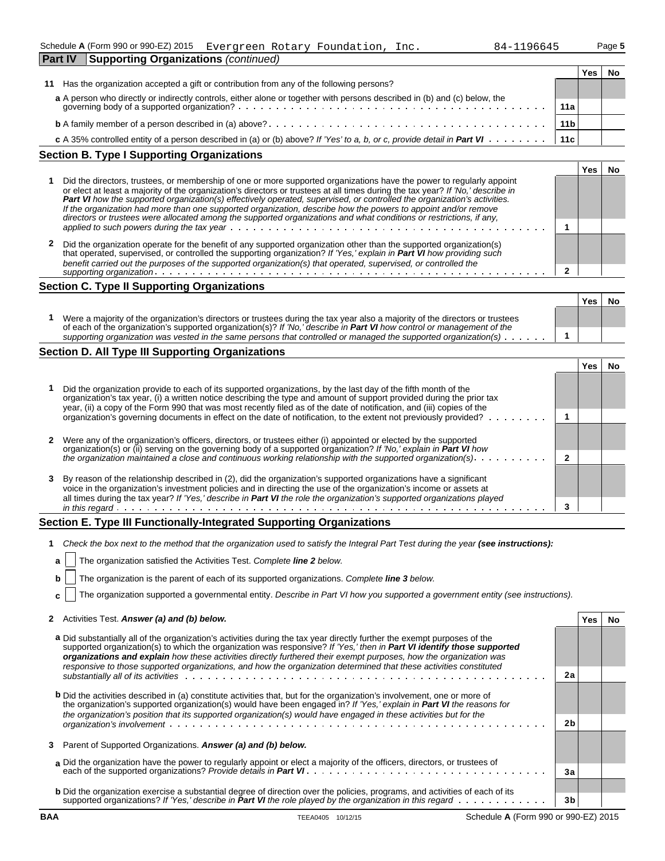| Schedule A (Form 990 or 990-EZ) 2015 | 'S Evergreen Rotary Foundation, Inc. |  | 84-1196645 | Page 5 |
|--------------------------------------|--------------------------------------|--|------------|--------|
|--------------------------------------|--------------------------------------|--|------------|--------|

| Supporting Organizations (continued)<br><b>Part IV</b>                                                                    |                                                                                                                            |                 |     |    |
|---------------------------------------------------------------------------------------------------------------------------|----------------------------------------------------------------------------------------------------------------------------|-----------------|-----|----|
|                                                                                                                           |                                                                                                                            |                 | Yes | No |
| 11                                                                                                                        | Has the organization accepted a gift or contribution from any of the following persons?                                    |                 |     |    |
| a A person who directly or indirectly controls, either alone or together with persons described in (b) and (c) below, the |                                                                                                                            |                 |     |    |
|                                                                                                                           |                                                                                                                            | 11a             |     |    |
|                                                                                                                           |                                                                                                                            | 11 <sub>b</sub> |     |    |
|                                                                                                                           | c A 35% controlled entity of a person described in (a) or (b) above? If 'Yes' to a, b, or c, provide detail in Part VI 11c |                 |     |    |
|                                                                                                                           | <b>Section B. Type I Supporting Organizations</b>                                                                          |                 |     |    |

|  |                                                                                                                                                                                                                                                                                                                                                                                                                                                                                                                                                                                                                               |  | res |  |
|--|-------------------------------------------------------------------------------------------------------------------------------------------------------------------------------------------------------------------------------------------------------------------------------------------------------------------------------------------------------------------------------------------------------------------------------------------------------------------------------------------------------------------------------------------------------------------------------------------------------------------------------|--|-----|--|
|  | Did the directors, trustees, or membership of one or more supported organizations have the power to regularly appoint<br>or elect at least a majority of the organization's directors or trustees at all times during the tax year? If 'No,' describe in<br>Part VI how the supported organization(s) effectively operated, supervised, or controlled the organization's activities.<br>If the organization had more than one supported organization, describe how the powers to appoint and/or remove<br>directors or trustees were allocated among the supported organizations and what conditions or restrictions, if any, |  |     |  |
|  |                                                                                                                                                                                                                                                                                                                                                                                                                                                                                                                                                                                                                               |  |     |  |
|  | Did the organization operate for the benefit of any supported organization other than the supported organization(s)<br>that operated, supervised, or controlled the supporting organization? If 'Yes,' explain in Part VI how providing such                                                                                                                                                                                                                                                                                                                                                                                  |  |     |  |
|  | benefit carried out the purposes of the supported organization(s) that operated, supervised, or controlled the<br>supporting organization.                                                                                                                                                                                                                                                                                                                                                                                                                                                                                    |  |     |  |

# **Section C. Type II Supporting Organizations**

|                                                                                                                                                                                                                                                               | Yes | N |
|---------------------------------------------------------------------------------------------------------------------------------------------------------------------------------------------------------------------------------------------------------------|-----|---|
| Were a majority of the organization's directors or trustees during the tax year also a majority of the directors or trustees<br>of each of the organization's supported organization(s)? If 'No,' describe in <b>Part VI</b> how control or management of the |     |   |
| supporting organization was vested in the same persons that controlled or managed the supported organization(s) $\ldots$                                                                                                                                      |     |   |

# **Section D. All Type III Supporting Organizations**

|                                                                                                                         |                                                                                                                                                                                                                                                                                                                                                                   |  | res |  |
|-------------------------------------------------------------------------------------------------------------------------|-------------------------------------------------------------------------------------------------------------------------------------------------------------------------------------------------------------------------------------------------------------------------------------------------------------------------------------------------------------------|--|-----|--|
|                                                                                                                         | Did the organization provide to each of its supported organizations, by the last day of the fifth month of the<br>organization's tax year, (i) a written notice describing the type and amount of support provided during the prior tax<br>year, (ii) a copy of the Form 990 that was most recently filed as of the date of notification, and (iii) copies of the |  |     |  |
|                                                                                                                         | organization's governing documents in effect on the date of notification, to the extent not previously provided?                                                                                                                                                                                                                                                  |  |     |  |
|                                                                                                                         |                                                                                                                                                                                                                                                                                                                                                                   |  |     |  |
|                                                                                                                         | Were any of the organization's officers, directors, or trustees either (i) appointed or elected by the supported<br>organization(s) or (ii) serving on the governing body of a supported organization? If 'No,' explain in Part VI how                                                                                                                            |  |     |  |
|                                                                                                                         | the organization maintained a close and continuous working relationship with the supported organization(s). $\dots \dots \dots$                                                                                                                                                                                                                                   |  |     |  |
|                                                                                                                         |                                                                                                                                                                                                                                                                                                                                                                   |  |     |  |
| 3                                                                                                                       | By reason of the relationship described in (2), did the organization's supported organizations have a significant<br>voice in the organization's investment policies and in directing the use of the organization's income or assets at                                                                                                                           |  |     |  |
| all times during the tax year? If 'Yes,' describe in Part VI the role the organization's supported organizations played |                                                                                                                                                                                                                                                                                                                                                                   |  |     |  |
|                                                                                                                         | in this regard.<br>and the second contract of the second con-                                                                                                                                                                                                                                                                                                     |  |     |  |

# **Section E. Type III Functionally-Integrated Supporting Organizations**

|  | Check the box next to the method that the organization used to satisfy the Integral Part Test during the year (see instructions): |  |  |  |  |
|--|-----------------------------------------------------------------------------------------------------------------------------------|--|--|--|--|
|--|-----------------------------------------------------------------------------------------------------------------------------------|--|--|--|--|

| <b>a</b>   The organization satisfied the Activities Test. Complete <b>line 2</b> below.                   |
|------------------------------------------------------------------------------------------------------------|
| $\mathbf{b}$ The organization is the parent of each of its supported organizations. Complete line 3 below. |

|  | $c$   The organization supported a governmental entity. Describe in Part VI how you supported a government entity (see instructions). |
|--|---------------------------------------------------------------------------------------------------------------------------------------|
|  |                                                                                                                                       |

|  | 2 Activities Test. Answer (a) and (b) below. | Yes No |  |
|--|----------------------------------------------|--------|--|
|--|----------------------------------------------|--------|--|

| a Did substantially all of the organization's activities during the tax year directly further the exempt purposes of the<br>supported organization(s) to which the organization was responsive? If 'Yes,' then in Part VI identify those supported<br>organizations and explain how these activities directly furthered their exempt purposes, how the organization was<br>responsive to those supported organizations, and how the organization determined that these activities constituted<br>substantially all of its activities enterpresent enterpresent enterpresent enterpresent enterpresent enterpres | 2a             |  |
|-----------------------------------------------------------------------------------------------------------------------------------------------------------------------------------------------------------------------------------------------------------------------------------------------------------------------------------------------------------------------------------------------------------------------------------------------------------------------------------------------------------------------------------------------------------------------------------------------------------------|----------------|--|
| <b>b</b> Did the activities described in (a) constitute activities that, but for the organization's involvement, one or more of<br>the organization's supported organization(s) would have been engaged in? If 'Yes,' explain in Part VI the reasons for<br>the organization's position that its supported organization(s) would have engaged in these activities but for the                                                                                                                                                                                                                                   | 2 <sub>b</sub> |  |
| 3 Parent of Supported Organizations. Answer (a) and (b) below.                                                                                                                                                                                                                                                                                                                                                                                                                                                                                                                                                  |                |  |
| a Did the organization have the power to regularly appoint or elect a majority of the officers, directors, or trustees of                                                                                                                                                                                                                                                                                                                                                                                                                                                                                       | 3a             |  |
| <b>b</b> Did the organization exercise a substantial degree of direction over the policies, programs, and activities of each of its<br>supported organizations? If 'Yes,' describe in Part VI the role played by the organization in this regard $\cdots$                                                                                                                                                                                                                                                                                                                                                       | 3b             |  |

**BAA** TEEA0405 10/12/15 Schedule **A** (Form 990 or 990-EZ) 2015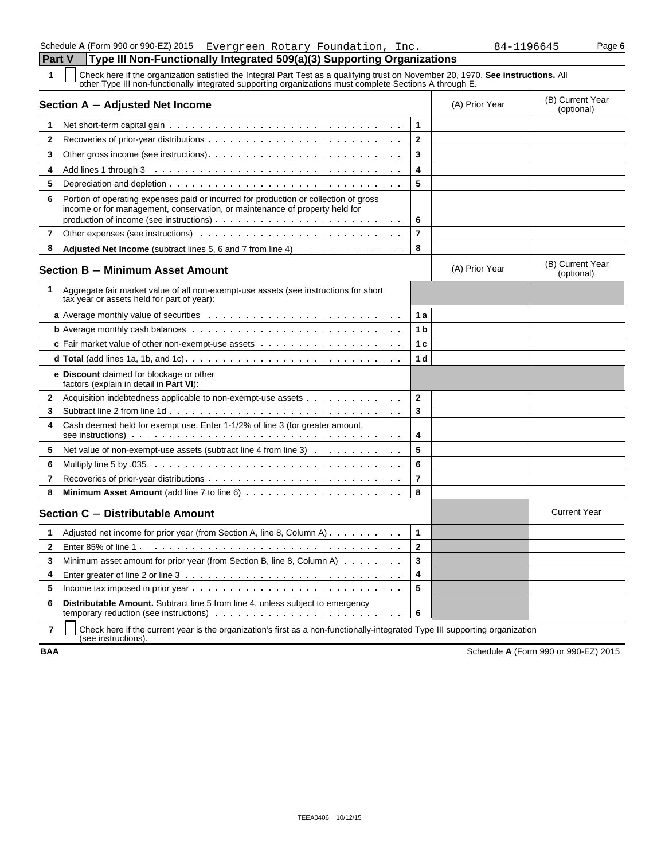**1** Check here if the organization satisfied the Integral Part Test as a qualifying trust on November 20, 1970. **See instructions.** All other Type III non-functionally integrated supporting organizations must complete Sections A through E.

|              | Section A - Adjusted Net Income                                                                                                                                     |                | (A) Prior Year | (B) Current Year<br>(optional) |
|--------------|---------------------------------------------------------------------------------------------------------------------------------------------------------------------|----------------|----------------|--------------------------------|
| 1            |                                                                                                                                                                     | 1              |                |                                |
| $\mathbf{2}$ |                                                                                                                                                                     | $\overline{2}$ |                |                                |
| 3            |                                                                                                                                                                     | 3              |                |                                |
| 4            |                                                                                                                                                                     | 4              |                |                                |
| 5            |                                                                                                                                                                     | 5              |                |                                |
| 6            | Portion of operating expenses paid or incurred for production or collection of gross<br>income or for management, conservation, or maintenance of property held for | 6              |                |                                |
| 7            |                                                                                                                                                                     | $\overline{7}$ |                |                                |
| 8            | <b>Adjusted Net Income</b> (subtract lines 5, 6 and 7 from line 4) $\ldots$                                                                                         | 8              |                |                                |
|              | <b>Section B - Minimum Asset Amount</b>                                                                                                                             |                | (A) Prior Year | (B) Current Year<br>(optional) |
| 1            | Aggregate fair market value of all non-exempt-use assets (see instructions for short<br>tax year or assets held for part of year):                                  |                |                |                                |
|              |                                                                                                                                                                     | 1 a            |                |                                |
|              | <b>b</b> Average monthly cash balances $\ldots \ldots \ldots \ldots \ldots \ldots \ldots \ldots \ldots \ldots \ldots$                                               | 1 b            |                |                                |
|              |                                                                                                                                                                     | 1 <sub>c</sub> |                |                                |
|              |                                                                                                                                                                     | 1 <sub>d</sub> |                |                                |
|              | e Discount claimed for blockage or other<br>factors (explain in detail in Part VI):                                                                                 |                |                |                                |
| 2            | Acquisition indebtedness applicable to non-exempt-use assets                                                                                                        | $\mathbf{2}$   |                |                                |
| 3            |                                                                                                                                                                     | 3              |                |                                |
| 4            | Cash deemed held for exempt use. Enter 1-1/2% of line 3 (for greater amount,                                                                                        | 4              |                |                                |
| 5            | Net value of non-exempt-use assets (subtract line 4 from line 3)                                                                                                    | 5              |                |                                |
| 6            |                                                                                                                                                                     | 6              |                |                                |
| 7            |                                                                                                                                                                     | $\overline{7}$ |                |                                |
| 8            |                                                                                                                                                                     | 8              |                |                                |
|              | Section C - Distributable Amount                                                                                                                                    |                |                | <b>Current Year</b>            |
| 1            | Adjusted net income for prior year (from Section A, line 8, Column A) $\ldots$                                                                                      | 1              |                |                                |
| $\mathbf{2}$ |                                                                                                                                                                     | $\overline{2}$ |                |                                |
| 3            | Minimum asset amount for prior year (from Section B, line 8, Column A) $\dots \dots$                                                                                | 3              |                |                                |
| 4            |                                                                                                                                                                     | 4              |                |                                |
| 5            | Income tax imposed in prior year $\cdots \cdots \cdots \cdots \cdots \cdots \cdots \cdots \cdots \cdots \cdots$                                                     | 5              |                |                                |
| 6            | <b>Distributable Amount.</b> Subtract line 5 from line 4, unless subject to emergency                                                                               | 6              |                |                                |

**7** | Check here if the current year is the organization's first as a non-functionally-integrated Type III supporting organization (see instructions).

**BAA** Schedule **A** (Form 990 or 990-EZ) 2015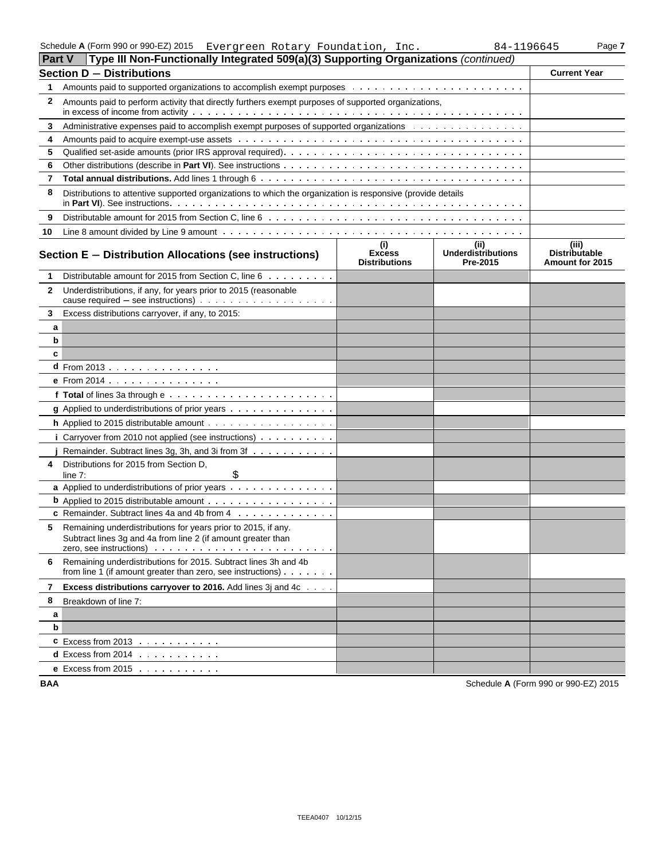| <b>Part V</b> | Type III Non-Functionally Integrated 509(a)(3) Supporting Organizations (continued)                                                     |                                              |                                               |                                                         |
|---------------|-----------------------------------------------------------------------------------------------------------------------------------------|----------------------------------------------|-----------------------------------------------|---------------------------------------------------------|
|               | <b>Section D - Distributions</b>                                                                                                        |                                              |                                               | <b>Current Year</b>                                     |
| 1             |                                                                                                                                         |                                              |                                               |                                                         |
| 2             | Amounts paid to perform activity that directly furthers exempt purposes of supported organizations,                                     |                                              |                                               |                                                         |
| 3             | Administrative expenses paid to accomplish exempt purposes of supported organizations                                                   |                                              |                                               |                                                         |
| 4             |                                                                                                                                         |                                              |                                               |                                                         |
| 5             |                                                                                                                                         |                                              |                                               |                                                         |
| 6             |                                                                                                                                         |                                              |                                               |                                                         |
| 7             |                                                                                                                                         |                                              |                                               |                                                         |
| 8             | Distributions to attentive supported organizations to which the organization is responsive (provide details                             |                                              |                                               |                                                         |
| 9             |                                                                                                                                         |                                              |                                               |                                                         |
| 10            |                                                                                                                                         |                                              |                                               |                                                         |
|               | Section E - Distribution Allocations (see instructions)                                                                                 | (i)<br><b>Excess</b><br><b>Distributions</b> | (ii)<br><b>Underdistributions</b><br>Pre-2015 | (iii)<br><b>Distributable</b><br><b>Amount for 2015</b> |
| 1             | Distributable amount for 2015 from Section C, line 6                                                                                    |                                              |                                               |                                                         |
| $\mathbf{2}$  | Underdistributions, if any, for years prior to 2015 (reasonable                                                                         |                                              |                                               |                                                         |
| 3             | Excess distributions carryover, if any, to 2015:                                                                                        |                                              |                                               |                                                         |
| а             |                                                                                                                                         |                                              |                                               |                                                         |
| b             |                                                                                                                                         |                                              |                                               |                                                         |
| c             |                                                                                                                                         |                                              |                                               |                                                         |
|               | <b>d</b> From 2013 $\ldots$ $\ldots$ $\ldots$ $\ldots$                                                                                  |                                              |                                               |                                                         |
|               | <b>e</b> From 2014                                                                                                                      |                                              |                                               |                                                         |
|               |                                                                                                                                         |                                              |                                               |                                                         |
|               | g Applied to underdistributions of prior years                                                                                          |                                              |                                               |                                                         |
|               |                                                                                                                                         |                                              |                                               |                                                         |
|               | i Carryover from 2010 not applied (see instructions)                                                                                    |                                              |                                               |                                                         |
|               | Remainder. Subtract lines 3g, 3h, and 3i from 3f                                                                                        |                                              |                                               |                                                         |
| 4             | Distributions for 2015 from Section D,                                                                                                  |                                              |                                               |                                                         |
|               | \$<br>line $7:$                                                                                                                         |                                              |                                               |                                                         |
|               | a Applied to underdistributions of prior years                                                                                          |                                              |                                               |                                                         |
|               | <b>b</b> Applied to 2015 distributable amount                                                                                           |                                              |                                               |                                                         |
|               | c Remainder. Subtract lines 4a and 4b from 4                                                                                            |                                              |                                               |                                                         |
| 5             | Remaining underdistributions for years prior to 2015, if any.<br>Subtract lines 3g and 4a from line 2 (if amount greater than           |                                              |                                               |                                                         |
| 6             | Remaining underdistributions for 2015. Subtract lines 3h and 4b<br>from line 1 (if amount greater than zero, see instructions) $\cdots$ |                                              |                                               |                                                         |
| $7^{\circ}$   | Excess distributions carryover to 2016. Add lines 3j and 4c                                                                             |                                              |                                               |                                                         |
| 8             | Breakdown of line 7:                                                                                                                    |                                              |                                               |                                                         |
| а             |                                                                                                                                         |                                              |                                               |                                                         |
| b             |                                                                                                                                         |                                              |                                               |                                                         |
|               | <b>c</b> Excess from 2013 $\ldots$ $\ldots$ $\ldots$                                                                                    |                                              |                                               |                                                         |
|               | <b>d</b> Excess from $2014$                                                                                                             |                                              |                                               |                                                         |
|               | e Excess from 2015 $\ldots$                                                                                                             |                                              |                                               |                                                         |

Schedule A (Form 990 or 990-EZ) 2015 Evergreen Rotary Foundation, Inc. 84-1196645 Page 7

**BAA** Schedule **A** (Form 990 or 990-EZ) 2015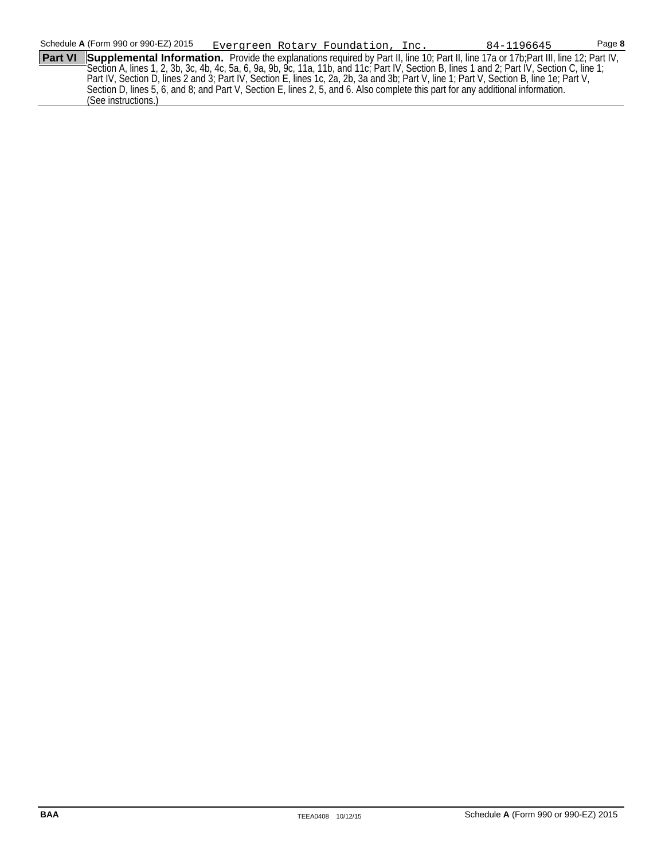Section A, lines 1, 2, 3b, 3c, 4b, 4c, 5a, 6, 9a, 9b, 9c, 11a, 11b, and 11c; Part IV, Section B, lines 1 and 2; Part IV, Section C, line 1; Part IV, Section D, lines 2 and 3; Part IV, Section E, lines 1c, 2a, 2b, 3a and 3b; Part V, line 1; Part V, Section B, line 1e; Part V, Section D, lines 5, 6, and 8; and Part V, Section E, lines 2, 5, and 6. Also complete this part for any additional information. (See instructions.)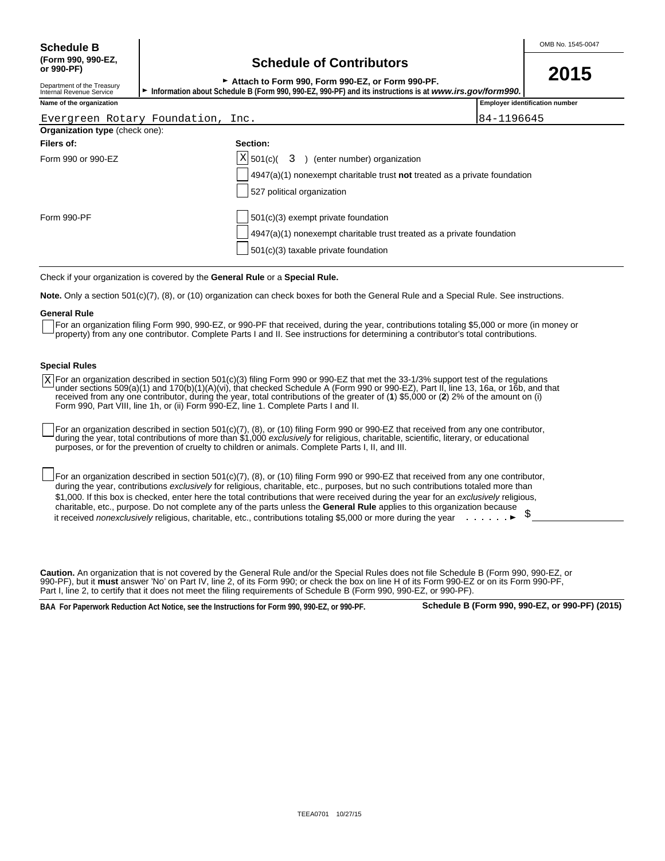# **(Form 990, 990-EZ, Schedule of Contributors or 990-PF)**

| OUNUMUD OF OUNING TO                                                                                                                    | 2015 |
|-----------------------------------------------------------------------------------------------------------------------------------------|------|
| Attach to Form 990, Form 990-EZ, or Form 990-PF.                                                                                        |      |
| $\blacktriangleright$ Information about Cahadula B (Earm 000, 000 E7, 000 DE) and its instructions is at <i>unusu ire goulform000</i> L |      |

Department of the Treasure<br>Internal Revenue Service **Name of the organization Employer identification** number

| Information about Schedule B (Form 990, 990-EZ, 990-PF) and its instructions is at www.irs.gov/form990 |  |
|--------------------------------------------------------------------------------------------------------|--|

| Evergreen Rotary Foundation, Inc.     |                                                                             | 84-1196645 |  |  |  |  |
|---------------------------------------|-----------------------------------------------------------------------------|------------|--|--|--|--|
| <b>Organization type</b> (check one): |                                                                             |            |  |  |  |  |
| Filers of:                            | Section:                                                                    |            |  |  |  |  |
| Form 990 or 990-EZ                    | $ X $ 501(c)( 3) (enter number) organization                                |            |  |  |  |  |
|                                       | $4947(a)(1)$ nonexempt charitable trust not treated as a private foundation |            |  |  |  |  |
|                                       | 527 political organization                                                  |            |  |  |  |  |
| Form 990-PF                           | $ 501(c)(3)$ exempt private foundation                                      |            |  |  |  |  |
|                                       | 4947(a)(1) nonexempt charitable trust treated as a private foundation       |            |  |  |  |  |
|                                       | 501(c)(3) taxable private foundation                                        |            |  |  |  |  |
|                                       |                                                                             |            |  |  |  |  |

Check if your organization is covered by the **General Rule** or a **Special Rule.**

**Note.** Only a section 501(c)(7), (8), or (10) organization can check boxes for both the General Rule and a Special Rule. See instructions.

#### **General Rule**

For an organization filing Form 990, 990-EZ, or 990-PF that received, during the year, contributions totaling \$5,000 or more (in money or property) from any one contributor. Complete Parts I and II. See instructions for determining a contributor's total contributions.

#### **Special Rules**

For an organization described in section 501(c)(3) filing Form 990 or 990-EZ that met the 33-1/3% support test of the regulations under sections 509(a)(1) and 170(b)(1)(A)(vi), that checked Schedule A (Form 990 or 990-EZ), Part II, line 13, 16a, or 16b, and that received from any one contributor, during the year, total contributions of the greater of (**1**) \$5,000 or (**2**) 2% of the amount on (i) Form 990, Part VIII, line 1h, or (ii) Form 990-EZ, line 1. Complete Parts I and II. X

For an organization described in section 501(c)(7), (8), or (10) filing Form 990 or 990-EZ that received from any one contributor, during the year, total contributions of more than \$1,000 *exclusively* for religious, charitable, scientific, literary, or educational purposes, or for the prevention of cruelty to children or animals. Complete Parts I, II, and III.

For an organization described in section 501(c)(7), (8), or (10) filing Form 990 or 990-EZ that received from any one contributor, during the year, contributions *exclusively* for religious, charitable, etc., purposes, but no such contributions totaled more than \$1,000. If this box is checked, enter here the total contributions that were received during the year for an *exclusively* religious, charitable, etc., purpose. Do not complete any of the parts unless the **General Rule** applies to this organization because it received *nonexclusively* religious, charitable, etc., contributions totaling \$5,000 or more during the year  $\ldots \ldots$ 

**Caution.** An organization that is not covered by the General Rule and/or the Special Rules does not file Schedule B (Form 990, 990-EZ, or 990-PF), but it **must** answer 'No' on Part IV, line 2, of its Form 990; or check the box on line H of its Form 990-EZ or on its Form 990-PF, Part I, line 2, to certify that it does not meet the filing requirements of Schedule B (Form 990, 990-EZ, or 990-PF)

**BAA For Paperwork Reduction Act Notice, see the Instructions for Form 990, 990-EZ, or 990-PF. Schedule B (Form 990, 990-EZ, or 990-PF) (2015)**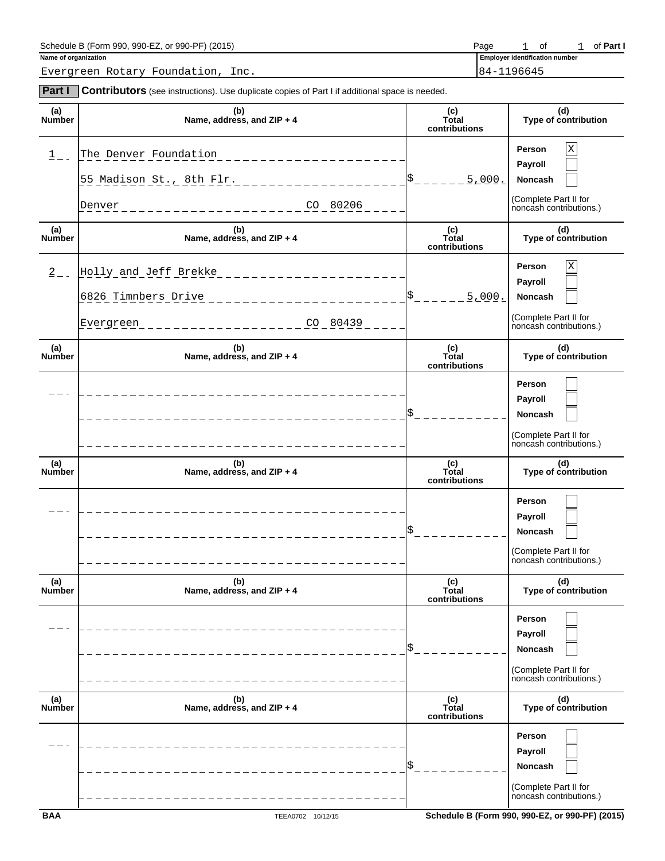| $390$ -PF $^{\circ}$<br>$- - -$<br>(2015)<br>Schedule<br>aan.<br>990<br>or<br>.-orm<br>ຸມສປ-⊨ ′<br>◡ | Page | ^+<br>$\cdot$ | 'an |
|------------------------------------------------------------------------------------------------------|------|---------------|-----|
|                                                                                                      |      |               |     |

**Name of organization** 1 of 1

Evergreen Rotary Foundation, Inc. 84-1196645

**Part I Contributors** (see instructions). Use duplicate copies of Part I if additional space is needed.

| (a)<br>Number        | (b)<br>Name, address, and ZIP + 4                                                                                                                  | (c)<br>Total<br>contributions | (d)<br>Type of contribution                                                                        |
|----------------------|----------------------------------------------------------------------------------------------------------------------------------------------------|-------------------------------|----------------------------------------------------------------------------------------------------|
| $\frac{1}{2}$ -      | The Denver Foundation<br>55 Madison St., 8th Flr. _____________________<br>CO 80206<br>Denver<br>_____________                                     | \$ _ _ _ _ _ _<br>5.000.      | $\rm X$<br>Person<br>Payroll<br><b>Noncash</b><br>(Complete Part II for<br>noncash contributions.) |
| (a)<br>Number        | (b)<br>Name, address, and ZIP + 4                                                                                                                  | (c)<br>Total<br>contributions | (d)<br>Type of contribution                                                                        |
| $\overline{2}$ $-$   | Holly and Jeff Brekke<br>. _ _ _ _ _ _ _ _ _ _ _ _ _ _ _<br>6826 Timnbers Drive<br>--------------------<br>CO 80439<br>Evergreen<br>______________ | 5.000.                        | $\rm X$<br>Person<br>Payroll<br><b>Noncash</b><br>(Complete Part II for<br>noncash contributions.) |
| (a)<br><b>Number</b> | (b)<br>Name, address, and ZIP + 4                                                                                                                  | (c)<br>Total<br>contributions | (d)<br>Type of contribution                                                                        |
|                      |                                                                                                                                                    |                               | Person<br>Payroll<br><b>Noncash</b><br>(Complete Part II for<br>noncash contributions.)            |
| (a)<br><b>Number</b> | (b)<br>Name, address, and ZIP + 4                                                                                                                  | (c)<br>Total<br>contributions | (d)<br>Type of contribution                                                                        |
|                      |                                                                                                                                                    |                               | Person<br>Payroll<br>Noncash<br>(Complete Part II for<br>noncash contributions.)                   |
| (a)<br>Number        | (b)<br>Name, address, and ZIP + 4                                                                                                                  | (c)<br>Total<br>contributions | (d)<br>Type of contribution                                                                        |
|                      |                                                                                                                                                    |                               | Person<br>Payroll<br>Noncash<br>(Complete Part II for<br>noncash contributions.)                   |
| (a)<br>Number        | (b)<br>Name, address, and ZIP + 4                                                                                                                  | (c)<br>Total<br>contributions | (d)<br>Type of contribution                                                                        |
|                      |                                                                                                                                                    |                               | Person<br>Payroll<br>Noncash<br>(Complete Part II for<br>noncash contributions.)                   |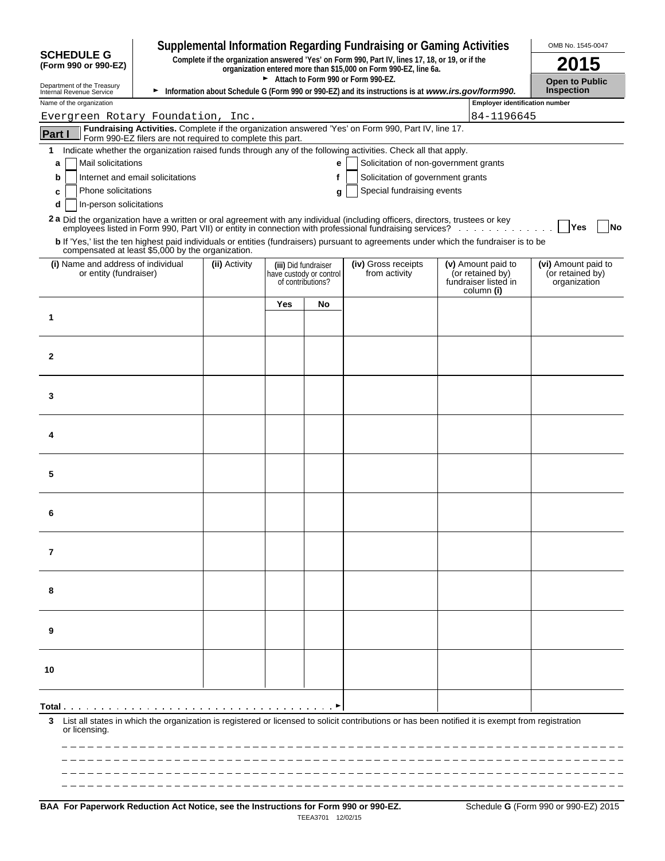| <b>Supplemental Information Regarding Fundraising or Gaming Activities</b>                                                                                                                  |                                                                                                                                         |               | OMB No. 1545-0047    |                                              |                                                                                                                                                                      |                                       |                                                                              |                                                         |
|---------------------------------------------------------------------------------------------------------------------------------------------------------------------------------------------|-----------------------------------------------------------------------------------------------------------------------------------------|---------------|----------------------|----------------------------------------------|----------------------------------------------------------------------------------------------------------------------------------------------------------------------|---------------------------------------|------------------------------------------------------------------------------|---------------------------------------------------------|
| <b>SCHEDULE G</b><br>(Form 990 or 990-EZ)                                                                                                                                                   |                                                                                                                                         |               |                      |                                              | Complete if the organization answered 'Yes' on Form 990, Part IV, lines 17, 18, or 19, or if the<br>organization entered more than \$15,000 on Form 990-EZ, line 6a. |                                       |                                                                              | 2015                                                    |
| Department of the Treasury<br>Internal Revenue Service                                                                                                                                      | Attach to Form 990 or Form 990-EZ.<br>Information about Schedule G (Form 990 or 990-EZ) and its instructions is at www.irs.gov/form990. |               |                      |                                              |                                                                                                                                                                      |                                       | <b>Open to Public</b><br><b>Inspection</b>                                   |                                                         |
| Name of the organization                                                                                                                                                                    |                                                                                                                                         |               |                      |                                              |                                                                                                                                                                      | <b>Emplover identification number</b> |                                                                              |                                                         |
| Evergreen Rotary Foundation, Inc.<br>Fundraising Activities. Complete if the organization answered 'Yes' on Form 990, Part IV, line 17.                                                     |                                                                                                                                         |               |                      |                                              |                                                                                                                                                                      | 84-1196645                            |                                                                              |                                                         |
| Part I<br>Form 990-EZ filers are not required to complete this part.                                                                                                                        |                                                                                                                                         |               |                      |                                              |                                                                                                                                                                      |                                       |                                                                              |                                                         |
| 1                                                                                                                                                                                           |                                                                                                                                         |               |                      |                                              | Indicate whether the organization raised funds through any of the following activities. Check all that apply.                                                        |                                       |                                                                              |                                                         |
| Mail solicitations<br>a                                                                                                                                                                     | Solicitation of non-government grants<br>е                                                                                              |               |                      |                                              |                                                                                                                                                                      |                                       |                                                                              |                                                         |
| Solicitation of government grants<br>Internet and email solicitations<br>f<br>b                                                                                                             |                                                                                                                                         |               |                      |                                              |                                                                                                                                                                      |                                       |                                                                              |                                                         |
| Phone solicitations<br>c                                                                                                                                                                    |                                                                                                                                         |               |                      | g                                            | Special fundraising events                                                                                                                                           |                                       |                                                                              |                                                         |
| In-person solicitations<br>d<br>2 a Did the organization have a written or oral agreement with any individual (including officers, directors, trustees or key                               |                                                                                                                                         |               |                      |                                              |                                                                                                                                                                      |                                       |                                                                              |                                                         |
|                                                                                                                                                                                             |                                                                                                                                         |               |                      |                                              | employees listed in Form 990, Part VII) or entity in connection with professional fundraising services?                                                              |                                       |                                                                              | Yes<br><b>No</b>                                        |
| b If 'Yes,' list the ten highest paid individuals or entities (fundraisers) pursuant to agreements under which the fundraiser is to be<br>compensated at least \$5,000 by the organization. |                                                                                                                                         |               |                      |                                              |                                                                                                                                                                      |                                       |                                                                              |                                                         |
| (i) Name and address of individual<br>or entity (fundraiser)                                                                                                                                |                                                                                                                                         | (ii) Activity | (iii) Did fundraiser | have custody or control<br>of contributions? | (iv) Gross receipts<br>from activity                                                                                                                                 |                                       | (v) Amount paid to<br>(or retained bv)<br>fundraiser listed in<br>column (i) | (vi) Amount paid to<br>(or retained by)<br>organization |
|                                                                                                                                                                                             |                                                                                                                                         |               | Yes                  | No                                           |                                                                                                                                                                      |                                       |                                                                              |                                                         |
| $\mathbf 1$                                                                                                                                                                                 |                                                                                                                                         |               |                      |                                              |                                                                                                                                                                      |                                       |                                                                              |                                                         |
|                                                                                                                                                                                             |                                                                                                                                         |               |                      |                                              |                                                                                                                                                                      |                                       |                                                                              |                                                         |
| $\mathbf{2}$                                                                                                                                                                                |                                                                                                                                         |               |                      |                                              |                                                                                                                                                                      |                                       |                                                                              |                                                         |
|                                                                                                                                                                                             |                                                                                                                                         |               |                      |                                              |                                                                                                                                                                      |                                       |                                                                              |                                                         |
| 3                                                                                                                                                                                           |                                                                                                                                         |               |                      |                                              |                                                                                                                                                                      |                                       |                                                                              |                                                         |
| 4                                                                                                                                                                                           |                                                                                                                                         |               |                      |                                              |                                                                                                                                                                      |                                       |                                                                              |                                                         |
| 5                                                                                                                                                                                           |                                                                                                                                         |               |                      |                                              |                                                                                                                                                                      |                                       |                                                                              |                                                         |
| 6                                                                                                                                                                                           |                                                                                                                                         |               |                      |                                              |                                                                                                                                                                      |                                       |                                                                              |                                                         |
| 7                                                                                                                                                                                           |                                                                                                                                         |               |                      |                                              |                                                                                                                                                                      |                                       |                                                                              |                                                         |
| 8                                                                                                                                                                                           |                                                                                                                                         |               |                      |                                              |                                                                                                                                                                      |                                       |                                                                              |                                                         |
| 9                                                                                                                                                                                           |                                                                                                                                         |               |                      |                                              |                                                                                                                                                                      |                                       |                                                                              |                                                         |
| 10                                                                                                                                                                                          |                                                                                                                                         |               |                      |                                              |                                                                                                                                                                      |                                       |                                                                              |                                                         |
|                                                                                                                                                                                             |                                                                                                                                         |               |                      |                                              |                                                                                                                                                                      |                                       |                                                                              |                                                         |
|                                                                                                                                                                                             |                                                                                                                                         |               |                      |                                              |                                                                                                                                                                      |                                       |                                                                              |                                                         |
| 3<br>or licensing.                                                                                                                                                                          |                                                                                                                                         |               |                      |                                              | List all states in which the organization is registered or licensed to solicit contributions or has been notified it is exempt from registration                     |                                       |                                                                              |                                                         |
|                                                                                                                                                                                             |                                                                                                                                         |               |                      |                                              |                                                                                                                                                                      |                                       |                                                                              |                                                         |
|                                                                                                                                                                                             |                                                                                                                                         |               |                      |                                              |                                                                                                                                                                      |                                       |                                                                              |                                                         |
|                                                                                                                                                                                             |                                                                                                                                         |               |                      |                                              |                                                                                                                                                                      |                                       |                                                                              |                                                         |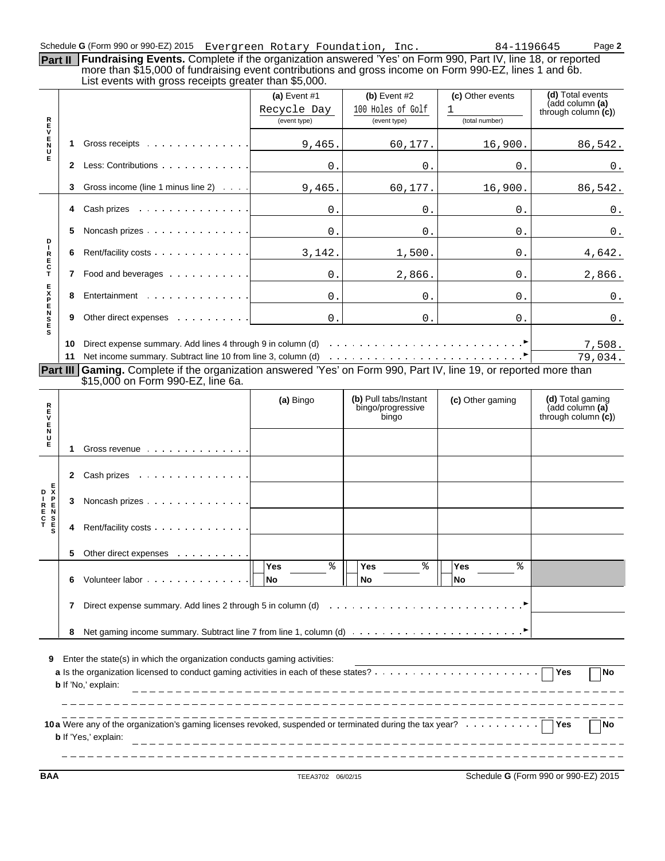**Part II** Fundraising Events. Complete if the organization answered 'Yes' on Form 990, Part IV, line 18, or reported more than \$15,000 of fundraising event contributions and gross income on Form 990-EZ, lines 1 and 6b. List events with gross receipts greater than \$5,000.

|                  |                                                                                                              | בוטג טייטותט וויותו קוטטט וטטטופנט קוטמנטו מומוז שט,טטט.                                                                                                                                                                       | (a) Event $#1$<br>Recycle Day | (b) Event $#2$<br>100 Holes of Golf                 | (c) Other events<br>$\overline{\perp}$ | (d) Total events<br>(add column (a)<br>through column $(c)$   |
|------------------|--------------------------------------------------------------------------------------------------------------|--------------------------------------------------------------------------------------------------------------------------------------------------------------------------------------------------------------------------------|-------------------------------|-----------------------------------------------------|----------------------------------------|---------------------------------------------------------------|
|                  |                                                                                                              |                                                                                                                                                                                                                                | (event type)                  | (event type)                                        | (total number)                         |                                                               |
| <b>CZNCR</b>     | 1                                                                                                            | Gross receipts                                                                                                                                                                                                                 | 9,465.                        | 60,177.                                             | 16,900.                                | 86,542.                                                       |
| Е                | $\mathbf{2}$                                                                                                 | Less: Contributions                                                                                                                                                                                                            | 0.                            | 0.                                                  | 0.                                     | 0.                                                            |
|                  | 3                                                                                                            | Gross income (line 1 minus line 2)                                                                                                                                                                                             | 9,465.                        | 60,177.                                             | 16,900.                                | 86,542.                                                       |
|                  | 4                                                                                                            | Cash prizes                                                                                                                                                                                                                    | 0.                            | 0.                                                  | 0.                                     | 0.                                                            |
| D                |                                                                                                              | Noncash prizes                                                                                                                                                                                                                 | 0.                            | 0.                                                  | 0.                                     | $0$ .                                                         |
| IRECT            |                                                                                                              |                                                                                                                                                                                                                                | 3,142.                        | 1,500.                                              | $0$ .                                  | 4,642.                                                        |
|                  |                                                                                                              | 7 Food and beverages                                                                                                                                                                                                           | 0.                            | 2,866.                                              | 0.                                     | 2,866.                                                        |
|                  | 8                                                                                                            | Entertainment                                                                                                                                                                                                                  | 0.                            | 0.                                                  | 0.                                     | 0.                                                            |
| 8月82日22日         | 9                                                                                                            | Other direct expenses example in the set of the set of the set of the set of the set of the set of the set of the set of the set of the set of the set of the set of the set of the set of the set of the set of the set of th | $0$ .                         | 0.                                                  | $0$ .                                  | $\mathsf 0$ .                                                 |
|                  | 10                                                                                                           | Direct expense summary. Add lines 4 through 9 in column (d) with the state of the state of the summary. Add lines 4 through 9 in column (d)                                                                                    |                               |                                                     |                                        | 7,508.                                                        |
|                  | 11                                                                                                           | Net income summary. Subtract line 10 from line 3, column (d) (a) and a series are series and substantial behavior by                                                                                                           |                               |                                                     |                                        | 79,034.                                                       |
|                  |                                                                                                              | Part III Gaming. Complete if the organization answered 'Yes' on Form 990, Part IV, line 19, or reported more than<br>\$15,000 on Form 990-EZ, line 6a.                                                                         |                               |                                                     |                                        |                                                               |
| R<br>E<br>V      |                                                                                                              |                                                                                                                                                                                                                                | (a) Bingo                     | (b) Pull tabs/Instant<br>bingo/progressive<br>bingo | (c) Other gaming                       | (d) Total gaming<br>(add column (a)<br>through column $(c)$ ) |
| E<br>N<br>U<br>E | 1                                                                                                            | Gross revenue                                                                                                                                                                                                                  |                               |                                                     |                                        |                                                               |
|                  | $\mathbf{2}$                                                                                                 | Cash prizes                                                                                                                                                                                                                    |                               |                                                     |                                        |                                                               |
|                  | 3                                                                                                            | Noncash prizes                                                                                                                                                                                                                 |                               |                                                     |                                        |                                                               |
|                  | 4                                                                                                            | Rent/facility costs                                                                                                                                                                                                            |                               |                                                     |                                        |                                                               |
|                  | 5.                                                                                                           | Other direct expenses                                                                                                                                                                                                          |                               |                                                     |                                        |                                                               |
|                  | 6                                                                                                            | Volunteer labor                                                                                                                                                                                                                | Yes<br>៖<br>No                | ిక<br>Yes<br>No                                     | ៖<br><b>Yes</b><br><b>No</b>           |                                                               |
|                  | 7                                                                                                            |                                                                                                                                                                                                                                |                               |                                                     |                                        |                                                               |
|                  | 8                                                                                                            |                                                                                                                                                                                                                                |                               |                                                     |                                        |                                                               |
| 9                | Enter the state(s) in which the organization conducts gaming activities:<br>No<br><b>b</b> If 'No,' explain: |                                                                                                                                                                                                                                |                               |                                                     |                                        |                                                               |
|                  | No<br><b>b</b> If 'Yes,' explain:                                                                            |                                                                                                                                                                                                                                |                               |                                                     |                                        |                                                               |

**BAA** TEEA3702 06/02/15 Schedule **G** (Form 990 or 990-EZ) 2015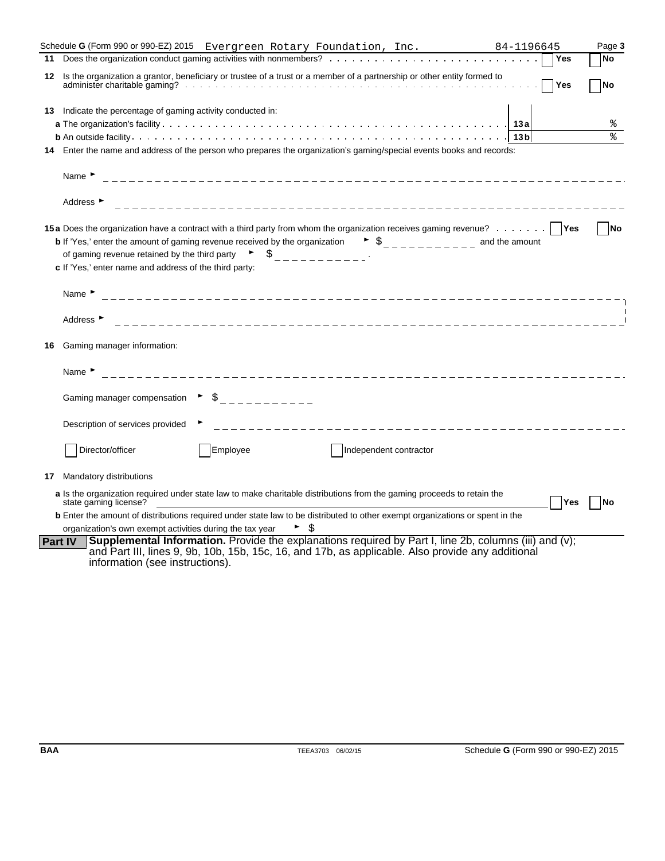|    | Schedule G (Form 990 or 990-EZ) 2015 Evergreen Rotary Foundation, Inc.<br>84-1196645                                                                                                                                                                                                                                                                                                                             |     | Page 3        |
|----|------------------------------------------------------------------------------------------------------------------------------------------------------------------------------------------------------------------------------------------------------------------------------------------------------------------------------------------------------------------------------------------------------------------|-----|---------------|
|    |                                                                                                                                                                                                                                                                                                                                                                                                                  | Yes | <b>No</b>     |
|    | 12 Is the organization a grantor, beneficiary or trustee of a trust or a member of a partnership or other entity formed to                                                                                                                                                                                                                                                                                       | Yes | <b>No</b>     |
|    | 13 Indicate the percentage of gaming activity conducted in:                                                                                                                                                                                                                                                                                                                                                      |     |               |
|    |                                                                                                                                                                                                                                                                                                                                                                                                                  |     | ိဝ            |
|    |                                                                                                                                                                                                                                                                                                                                                                                                                  |     | $\frac{1}{2}$ |
|    | 14 Enter the name and address of the person who prepares the organization's gaming/special events books and records:                                                                                                                                                                                                                                                                                             |     |               |
|    | Name $\blacktriangleright$                                                                                                                                                                                                                                                                                                                                                                                       |     |               |
|    | Address $\blacktriangleright$                                                                                                                                                                                                                                                                                                                                                                                    |     |               |
|    | 15 a Does the organization have a contract with a third party from whom the organization receives gaming revenue?   Yes<br><b>b</b> If 'Yes,' enter the amount of gaming revenue received by the organization $\bullet$ $\circ$<br>of gaming revenue retained by the third party $\begin{bmatrix} 1 & 1 \\ 2 & -1 & -1 \\ 3 & -1 & -1 \end{bmatrix}$ .<br>c If 'Yes,' enter name and address of the third party: |     | <b>No</b>     |
|    | Name $\blacktriangleright$                                                                                                                                                                                                                                                                                                                                                                                       |     |               |
|    | Address ►                                                                                                                                                                                                                                                                                                                                                                                                        |     |               |
| 16 | Gaming manager information:                                                                                                                                                                                                                                                                                                                                                                                      |     |               |
|    | Name <b>F</b>                                                                                                                                                                                                                                                                                                                                                                                                    |     |               |
|    | Gaming manager compensation $\qquad \qquad$ $\qquad \qquad$ $\qquad \qquad$ $\qquad \qquad$ $\qquad \qquad$ $\qquad \qquad$ $\qquad \qquad$ $\qquad \qquad$ $\qquad \qquad$ $\qquad \qquad$                                                                                                                                                                                                                      |     |               |
|    | Description of services provided                                                                                                                                                                                                                                                                                                                                                                                 |     |               |
|    | Director/officer<br>Employee<br>Independent contractor                                                                                                                                                                                                                                                                                                                                                           |     |               |
| 17 | Mandatory distributions                                                                                                                                                                                                                                                                                                                                                                                          |     |               |
|    | a Is the organization required under state law to make charitable distributions from the gaming proceeds to retain the<br>state gaming license?                                                                                                                                                                                                                                                                  | Yes | <b>No</b>     |
|    | <b>b</b> Enter the amount of distributions required under state law to be distributed to other exempt organizations or spent in the                                                                                                                                                                                                                                                                              |     |               |
|    | organization's own exempt activities during the tax year                                                                                                                                                                                                                                                                                                                                                         |     |               |
|    | <b>Supplemental Information.</b> Provide the explanations required by Part I, line 2b, columns (iii) and (v);<br><b>Part IV</b><br>and Part III, lines 9, 9b, 10b, 15b, 15c, 16, and 17b, as applicable. Also provide any additional<br>information (see instructions).                                                                                                                                          |     |               |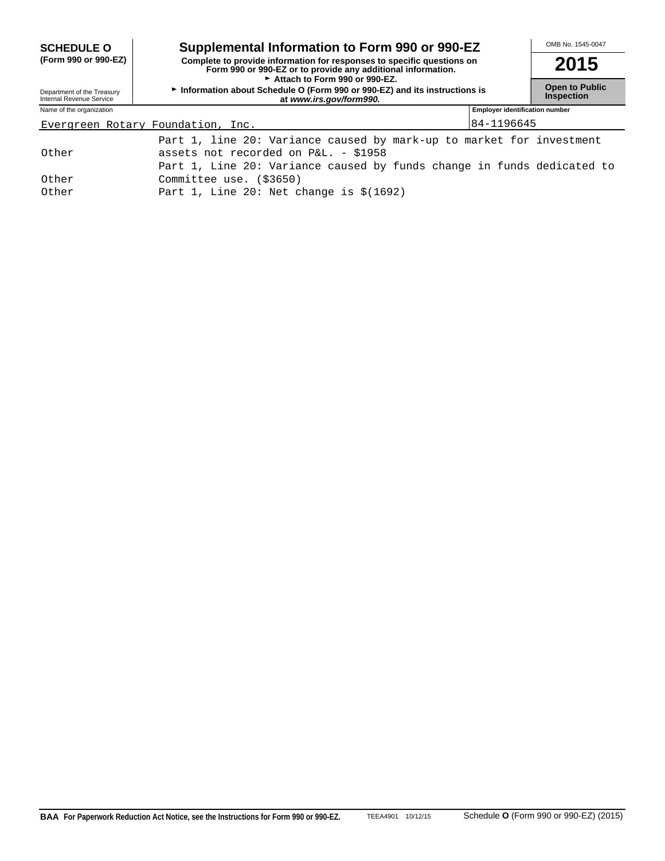| <b>SCHEDULE O</b>                                      | Supplemental Information to Form 990 or 990-EZ                            | OMB No. 1545-0047                          |  |  |
|--------------------------------------------------------|---------------------------------------------------------------------------|--------------------------------------------|--|--|
| (Form 990 or 990-EZ)                                   | Complete to provide information for responses to specific questions on    | 2015                                       |  |  |
| Department of the Treasury<br>Internal Revenue Service | Information about Schedule O (Form 990 or 990-EZ) and its instructions is | <b>Open to Public</b><br><b>Inspection</b> |  |  |
| Name of the organization                               |                                                                           | <b>Employer identification number</b>      |  |  |
| Evergreen Rotary Foundation, Inc.                      | 84-1196645                                                                |                                            |  |  |
|                                                        | Part 1, line 20: Variance caused by mark-up to market for investment      |                                            |  |  |
| Other                                                  | assets not recorded on P&L. - \$1958                                      |                                            |  |  |
|                                                        | Part 1, Line 20: Variance caused by funds change in funds dedicated to    |                                            |  |  |
| Other                                                  | Committee use. (\$3650)                                                   |                                            |  |  |
| Other                                                  | Part 1, Line 20: Net change is $$(1692)$                                  |                                            |  |  |
|                                                        |                                                                           |                                            |  |  |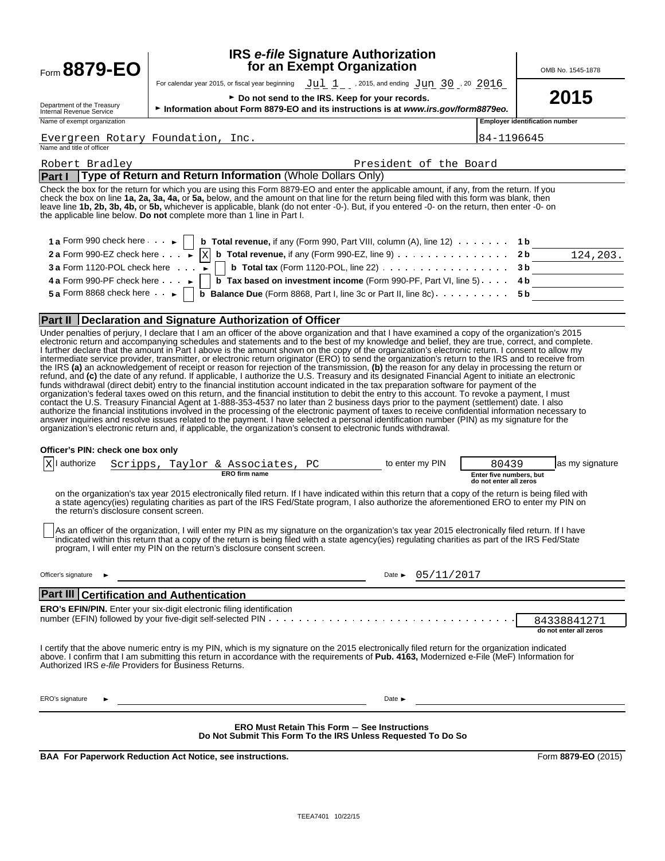| Form 8879-EO                                                                                                                                                                                                                                                                                                                                                                                                                                                                                                                                                                                                                                                                                                                                                                                                                                                                                                                                                                                                                                                                                                                                                                                                                                                                                                                 |                                                                                                        | <b>IRS e-file Signature Authorization</b><br>for an Exempt Organization |                                          |                                                   |                                       | OMB No. 1545-1878                     |
|------------------------------------------------------------------------------------------------------------------------------------------------------------------------------------------------------------------------------------------------------------------------------------------------------------------------------------------------------------------------------------------------------------------------------------------------------------------------------------------------------------------------------------------------------------------------------------------------------------------------------------------------------------------------------------------------------------------------------------------------------------------------------------------------------------------------------------------------------------------------------------------------------------------------------------------------------------------------------------------------------------------------------------------------------------------------------------------------------------------------------------------------------------------------------------------------------------------------------------------------------------------------------------------------------------------------------|--------------------------------------------------------------------------------------------------------|-------------------------------------------------------------------------|------------------------------------------|---------------------------------------------------|---------------------------------------|---------------------------------------|
|                                                                                                                                                                                                                                                                                                                                                                                                                                                                                                                                                                                                                                                                                                                                                                                                                                                                                                                                                                                                                                                                                                                                                                                                                                                                                                                              | For calendar year 2015, or fiscal year beginning $Jul_$ 1 $_2$ , 2015, and ending $Jun_30$ , 20 $2016$ |                                                                         |                                          |                                                   |                                       |                                       |
| Department of the Treasury<br>Internal Revenue Service                                                                                                                                                                                                                                                                                                                                                                                                                                                                                                                                                                                                                                                                                                                                                                                                                                                                                                                                                                                                                                                                                                                                                                                                                                                                       | Information about Form 8879-EO and its instructions is at www.irs.gov/form8879eo.                      | ► Do not send to the IRS. Keep for your records.                        |                                          |                                                   |                                       | 2015                                  |
| Name of exempt organization                                                                                                                                                                                                                                                                                                                                                                                                                                                                                                                                                                                                                                                                                                                                                                                                                                                                                                                                                                                                                                                                                                                                                                                                                                                                                                  |                                                                                                        |                                                                         |                                          |                                                   | <b>Employer identification number</b> |                                       |
| Evergreen Rotary Foundation, Inc.<br>Name and title of officer                                                                                                                                                                                                                                                                                                                                                                                                                                                                                                                                                                                                                                                                                                                                                                                                                                                                                                                                                                                                                                                                                                                                                                                                                                                               |                                                                                                        |                                                                         |                                          | 84-1196645                                        |                                       |                                       |
| Robert Bradley                                                                                                                                                                                                                                                                                                                                                                                                                                                                                                                                                                                                                                                                                                                                                                                                                                                                                                                                                                                                                                                                                                                                                                                                                                                                                                               |                                                                                                        |                                                                         | President of the Board                   |                                                   |                                       |                                       |
| <b>Part I</b>                                                                                                                                                                                                                                                                                                                                                                                                                                                                                                                                                                                                                                                                                                                                                                                                                                                                                                                                                                                                                                                                                                                                                                                                                                                                                                                | Type of Return and Return Information (Whole Dollars Only)                                             |                                                                         |                                          |                                                   |                                       |                                       |
| Check the box for the return for which you are using this Form 8879-EO and enter the applicable amount, if any, from the return. If you<br>check the box on line 1a, 2a, 3a, 4a, or 5a, below, and the amount on that line for the return being filed with this form was blank, then<br>leave line 1b, 2b, 3b, 4b, or 5b, whichever is applicable, blank (do not enter -0-). But, if you entered -0- on the return, then enter -0- on<br>the applicable line below. Do not complete more than 1 line in Part I.                                                                                                                                                                                                                                                                                                                                                                                                                                                                                                                                                                                                                                                                                                                                                                                                              |                                                                                                        |                                                                         |                                          |                                                   |                                       |                                       |
| 1 a Form 990 check here $\cdots$                                                                                                                                                                                                                                                                                                                                                                                                                                                                                                                                                                                                                                                                                                                                                                                                                                                                                                                                                                                                                                                                                                                                                                                                                                                                                             | <b>b</b> Total revenue, if any (Form 990, Part VIII, column (A), line 12) $\ldots \ldots$              |                                                                         |                                          |                                                   | 1 b                                   |                                       |
| 2 a Form 990-EZ check here $\cdots$ $\blacktriangleright$ $\vert$ X                                                                                                                                                                                                                                                                                                                                                                                                                                                                                                                                                                                                                                                                                                                                                                                                                                                                                                                                                                                                                                                                                                                                                                                                                                                          | <b>b</b> Total revenue, if any (Form 990-EZ, line 9) $\ldots$ 2b                                       |                                                                         |                                          |                                                   |                                       | 124,203.                              |
| 3 a Form 1120-POL check here $\cdots$                                                                                                                                                                                                                                                                                                                                                                                                                                                                                                                                                                                                                                                                                                                                                                                                                                                                                                                                                                                                                                                                                                                                                                                                                                                                                        |                                                                                                        | <b>b</b> Total tax (Form 1120-POL, line 22) $\ldots$                    |                                          |                                                   | 3b                                    |                                       |
| 4 a Form 990-PF check here $\cdots$                                                                                                                                                                                                                                                                                                                                                                                                                                                                                                                                                                                                                                                                                                                                                                                                                                                                                                                                                                                                                                                                                                                                                                                                                                                                                          | <b>b</b> Tax based on investment income (Form 990-PF, Part VI, line 5)                                 |                                                                         |                                          |                                                   | 4 b                                   |                                       |
| 5 a Form 8868 check here $\sim$                                                                                                                                                                                                                                                                                                                                                                                                                                                                                                                                                                                                                                                                                                                                                                                                                                                                                                                                                                                                                                                                                                                                                                                                                                                                                              | <b>b</b> Balance Due (Form 8868, Part I, line 3c or Part II, line 8c) $\ldots$                         |                                                                         |                                          |                                                   | 5 b                                   |                                       |
| <b>Part II Declaration and Signature Authorization of Officer</b>                                                                                                                                                                                                                                                                                                                                                                                                                                                                                                                                                                                                                                                                                                                                                                                                                                                                                                                                                                                                                                                                                                                                                                                                                                                            |                                                                                                        |                                                                         |                                          |                                                   |                                       |                                       |
| intermediate service provider, transmitter, or electronic return originator (ERO) to send the organization's return to the IRS and to receive from<br>the IRS (a) an acknowledgement of receipt or reason for rejection of the transmission, (b) the reason for any delay in processing the return or<br>refund, and (c) the date of any refund. If applicable, I authorize the U.S. Treasury and its designated Financial Agent to initiate an electronic<br>funds withdrawal (direct debit) entry to the financial institution account indicated in the tax preparation software for payment of the<br>organization's federal taxes owed on this return, and the financial institution to debit the entry to this account. To revoke a payment, I must<br>contact the U.S. Treasury Financial Agent at 1-888-353-4537 no later than 2 business days prior to the payment (settlement) date. I also<br>authorize the financial institutions involved in the processing of the electronic payment of taxes to receive confidential information necessary to<br>answer inquiries and resolve issues related to the payment. I have selected a personal identification number (PIN) as my signature for the<br>organization's electronic return and, if applicable, the organization's consent to electronic funds withdrawal. |                                                                                                        |                                                                         |                                          |                                                   |                                       |                                       |
| Officer's PIN: check one box only                                                                                                                                                                                                                                                                                                                                                                                                                                                                                                                                                                                                                                                                                                                                                                                                                                                                                                                                                                                                                                                                                                                                                                                                                                                                                            |                                                                                                        |                                                                         |                                          |                                                   |                                       |                                       |
| $\mathbf x$<br>I authorize                                                                                                                                                                                                                                                                                                                                                                                                                                                                                                                                                                                                                                                                                                                                                                                                                                                                                                                                                                                                                                                                                                                                                                                                                                                                                                   | Scripps, Taylor & Associates, PC<br><b>ERO</b> firm name                                               |                                                                         | to enter my PIN                          | 80439                                             |                                       | as my signature                       |
|                                                                                                                                                                                                                                                                                                                                                                                                                                                                                                                                                                                                                                                                                                                                                                                                                                                                                                                                                                                                                                                                                                                                                                                                                                                                                                                              |                                                                                                        |                                                                         |                                          | Enter five numbers, but<br>do not enter all zeros |                                       |                                       |
| on the organization's tax year 2015 electronically filed return. If I have indicated within this return that a copy of the return is being filed with<br>a state agency(ies) regulating charities as part of the IRS Fed/State program, I also authorize the aforementioned ERO to enter my PIN on<br>the return's disclosure consent screen.                                                                                                                                                                                                                                                                                                                                                                                                                                                                                                                                                                                                                                                                                                                                                                                                                                                                                                                                                                                |                                                                                                        |                                                                         |                                          |                                                   |                                       |                                       |
| As an officer of the organization, I will enter my PIN as my signature on the organization's tax year 2015 electronically filed return. If I have<br>indicated within this return that a copy of the return is being filed with a state agency(ies) regulating charities as part of the IRS Fed/State<br>program, I will enter my PIN on the return's disclosure consent screen.                                                                                                                                                                                                                                                                                                                                                                                                                                                                                                                                                                                                                                                                                                                                                                                                                                                                                                                                             |                                                                                                        |                                                                         |                                          |                                                   |                                       |                                       |
| Officer's signature                                                                                                                                                                                                                                                                                                                                                                                                                                                                                                                                                                                                                                                                                                                                                                                                                                                                                                                                                                                                                                                                                                                                                                                                                                                                                                          |                                                                                                        |                                                                         | Date $\blacktriangleright$<br>05/11/2017 |                                                   |                                       |                                       |
| <b>Part III Certification and Authentication</b>                                                                                                                                                                                                                                                                                                                                                                                                                                                                                                                                                                                                                                                                                                                                                                                                                                                                                                                                                                                                                                                                                                                                                                                                                                                                             |                                                                                                        |                                                                         |                                          |                                                   |                                       |                                       |
| <b>ERO's EFIN/PIN.</b> Enter your six-digit electronic filing identification                                                                                                                                                                                                                                                                                                                                                                                                                                                                                                                                                                                                                                                                                                                                                                                                                                                                                                                                                                                                                                                                                                                                                                                                                                                 |                                                                                                        |                                                                         |                                          |                                                   |                                       | 84338841271<br>do not enter all zeros |
| I certify that the above numeric entry is my PIN, which is my signature on the 2015 electronically filed return for the organization indicated<br>above. I confirm that I am submitting this return in accordance with the requirements of Pub. 4163, Modernized e-File (MeF) Information for<br>Authorized IRS e-file Providers for Business Returns.                                                                                                                                                                                                                                                                                                                                                                                                                                                                                                                                                                                                                                                                                                                                                                                                                                                                                                                                                                       |                                                                                                        |                                                                         |                                          |                                                   |                                       |                                       |
| ERO's signature                                                                                                                                                                                                                                                                                                                                                                                                                                                                                                                                                                                                                                                                                                                                                                                                                                                                                                                                                                                                                                                                                                                                                                                                                                                                                                              |                                                                                                        |                                                                         | Date $\blacktriangleright$               |                                                   |                                       |                                       |
|                                                                                                                                                                                                                                                                                                                                                                                                                                                                                                                                                                                                                                                                                                                                                                                                                                                                                                                                                                                                                                                                                                                                                                                                                                                                                                                              |                                                                                                        | <b>ERO Must Retain This Form - See Instructions</b>                     |                                          |                                                   |                                       |                                       |

**Do Not Submit This Form To the IRS Unless Requested To Do So**

**BAA For Paperwork Reduction Act Notice, see instructions.** Form 8879-EO (2015)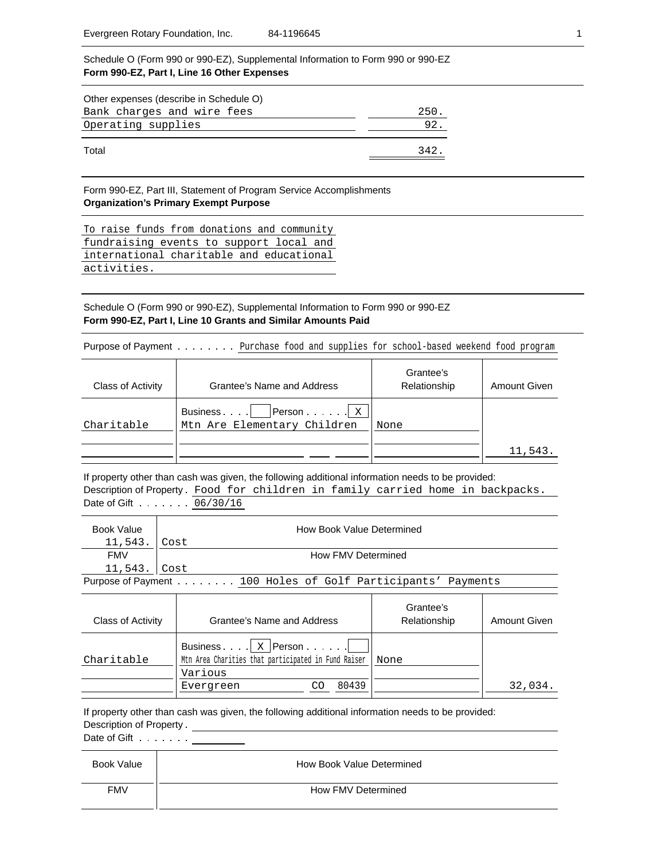Schedule O (Form 990 or 990-EZ), Supplemental Information to Form 990 or 990-EZ **Form 990-EZ, Part I, Line 16 Other Expenses**

| Other expenses (describe in Schedule O) |      |
|-----------------------------------------|------|
| Bank charges and wire fees              | 250  |
| Operating supplies                      |      |
|                                         |      |
| Total                                   | -342 |

Form 990-EZ, Part III, Statement of Program Service Accomplishments **Organization's Primary Exempt Purpose**

| To raise funds from donations and community |  |  |  |  |
|---------------------------------------------|--|--|--|--|
| fundraising events to support local and     |  |  |  |  |
| international charitable and educational    |  |  |  |  |
| activities.                                 |  |  |  |  |

#### Schedule O (Form 990 or 990-EZ), Supplemental Information to Form 990 or 990-EZ **Form 990-EZ, Part I, Line 10 Grants and Similar Amounts Paid**

Purpose of Payment . . . . . . . Purchase food and supplies for school-based weekend food program

| Class of Activity | Grantee's Name and Address                                             | Grantee's<br>Relationship | Amount Given |
|-------------------|------------------------------------------------------------------------|---------------------------|--------------|
| Charitable        | Business $\ldots$   Person $\ldots$   X<br>Mtn Are Elementary Children | None                      | 11,543.      |

If property other than cash was given, the following additional information needs to be provided: Description of Property Food for children in family carried home in backpacks. Date of Gift . . . . . . 06/30/16

| Book Value     | How Book Value Determined                                   |  |  |
|----------------|-------------------------------------------------------------|--|--|
| 11,543.   Cost |                                                             |  |  |
| <b>FMV</b>     | How FMV Determined                                          |  |  |
| 11,543.   Cost |                                                             |  |  |
|                | Purpose of Payment 100 Holes of Golf Participants' Payments |  |  |
|                |                                                             |  |  |

| Class of Activity | Grantee's Name and Address                                                                                  | Grantee's<br>Relationship | <b>Amount Given</b> |
|-------------------|-------------------------------------------------------------------------------------------------------------|---------------------------|---------------------|
| Charitable        | Business $\ldots$   $X$   Person $\ldots$ $\ldots$  <br>Mtn Area Charities that participated in Fund Raiser | None                      |                     |
|                   | Various                                                                                                     |                           |                     |
|                   | 80439<br>Evergreen                                                                                          |                           | 32,034.             |

If property other than cash was given, the following additional information needs to be provided: Description of Property

Date of Gift  $\cdots \cdots \cdots$ 

| Book Value | How Book Value Determined |
|------------|---------------------------|
| <b>FMV</b> | How FMV Determined        |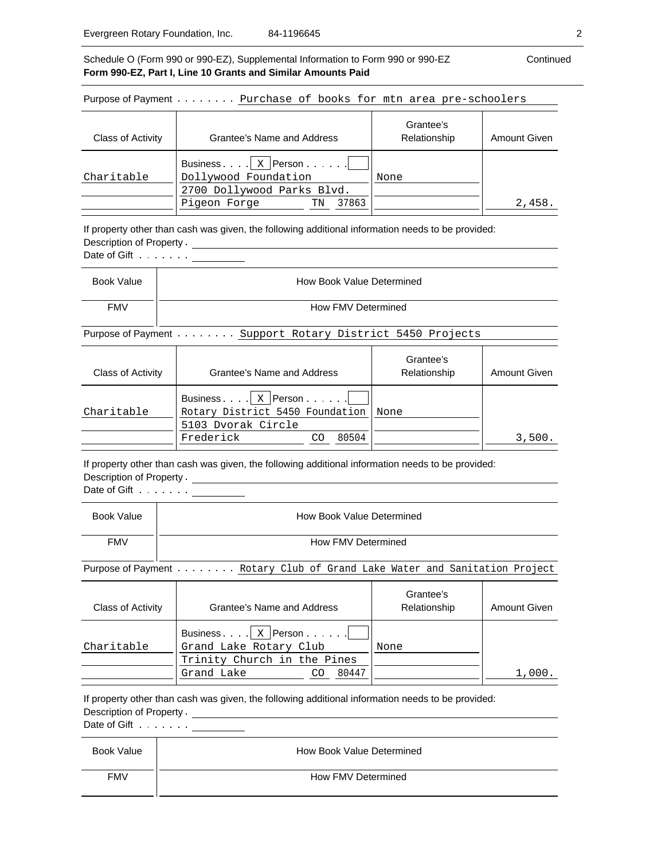Purpose of Payment . . . . . . . Purchase of books for mtn area pre-schoolers

| Class of Activity | Grantee's Name and Address                                          | Grantee's<br>Relationship | <b>Amount Given</b> |
|-------------------|---------------------------------------------------------------------|---------------------------|---------------------|
| Charitable        | Business $\ldots$   $X$   Person $\ldots$  <br>Dollywood Foundation | None                      |                     |
|                   | 2700 Dollywood Parks Blvd.<br>37863<br>Pigeon Forge<br>TN           |                           | 2,458.              |

If property other than cash was given, the following additional information needs to be provided: Description of Property . \_\_\_\_\_\_\_\_

Date of Gift . . . . . . . <u>\_\_\_\_\_\_\_\_</u>\_\_

| Book Value | How Book Value Determined |
|------------|---------------------------|
| <b>FMV</b> | How FMV Determined        |

Purpose of Payment . . . . . . . Support Rotary District 5450 Projects

| Class of Activity | Grantee's Name and Address                                                                                    | Grantee's<br>Relationship | Amount Given |
|-------------------|---------------------------------------------------------------------------------------------------------------|---------------------------|--------------|
| Charitable        | Business $\ldots$   $X$   Person $\ldots$ $\ldots$  <br>Rotary District 5450 Foundation<br>5103 Dvorak Circle | None                      |              |
|                   | Frederick<br>80504                                                                                            |                           | 3,500.       |
|                   |                                                                                                               |                           |              |

If property other than cash was given, the following additional information needs to be provided: Description of Property . \_\_\_\_\_\_\_\_\_\_\_\_\_\_ Date of Gift . . . . . . . <u>\_\_\_\_\_\_\_\_</u>

| Book Value | How Book Value Determined                                                        |  |  |
|------------|----------------------------------------------------------------------------------|--|--|
| <b>FMV</b> | How FMV Determined                                                               |  |  |
|            | <b>Purpose of Payment</b> Rotary Club of Grand Lake Water and Sanitation Project |  |  |

| Class of Activity | Grantee's Name and Address                                            | Grantee's<br>Relationship | Amount Given |
|-------------------|-----------------------------------------------------------------------|---------------------------|--------------|
| Charitable        | Business $\ldots$   $X$   Person $\ldots$  <br>Grand Lake Rotary Club | None                      |              |
|                   | Trinity Church in the Pines                                           |                           |              |
|                   | Grand Lake<br>80447                                                   |                           | 1,000.       |

If property other than cash was given, the following additional information needs to be provided: Description of Property and the contract of the contract of the contract of the contract of the contract of the contract of the contract of the contract of the contract of the contract of the contract of the contract of th

Date of Gift . . . . . . . <u>. . . . . . . .</u>

| Book Value | How Book Value Determined |  |
|------------|---------------------------|--|
| <b>FMV</b> | How FMV Determined        |  |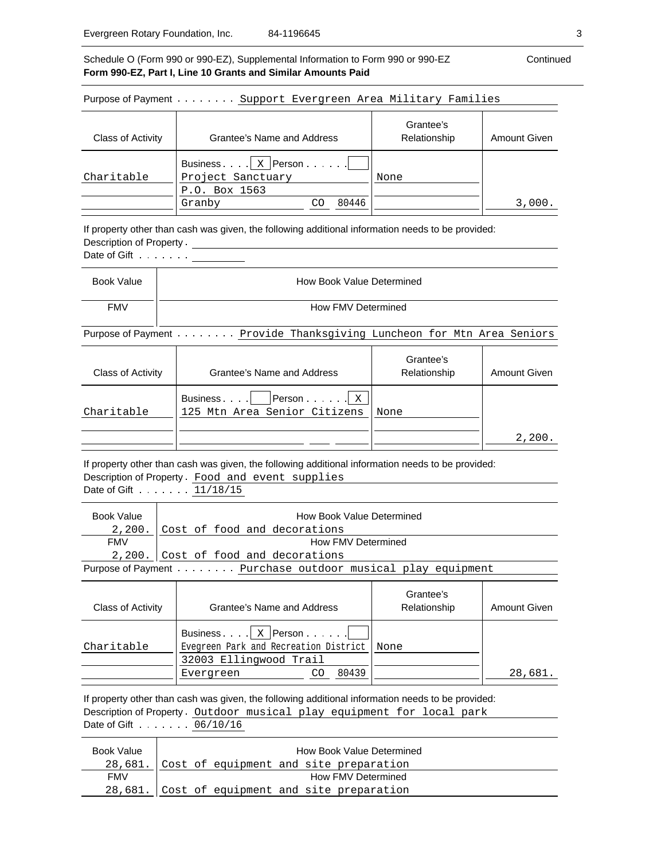**Continued** 

#### Purpose of Payment . . . . . . . Support Evergreen Area Military Families  $\top$ T Τ

| Class of Activity | Grantee's Name and Address                                                | Grantee's<br>Relationship | <b>Amount Given</b> |
|-------------------|---------------------------------------------------------------------------|---------------------------|---------------------|
| Charitable        | Business $\ldots$   $X$   Person $\ldots$ $\ldots$  <br>Project Sanctuary | None                      |                     |
|                   | P.O. Box 1563                                                             |                           |                     |
|                   | 80446<br>Granby                                                           |                           | 3,000.              |

If property other than cash was given, the following additional information needs to be provided: Description of Property . \_\_\_\_\_\_\_\_

Date of Gift . . . . . . . <u>\_\_\_\_\_\_\_\_</u>\_\_

| Book Value | How Book Value Determined |
|------------|---------------------------|
| <b>FMV</b> | How FMV Determined        |

Purpose of Payment . . . . . . . Provide Thanksgiving Luncheon for Mtn Area Seniors

| Class of Activity | Grantee's Name and Address                                      | Grantee's<br>Relationship | <b>Amount Given</b> |
|-------------------|-----------------------------------------------------------------|---------------------------|---------------------|
| Charitable        | '___ Person   x  <br>Business  <br>125 Mtn Area Senior Citizens | None                      |                     |
|                   |                                                                 |                           | 2,200.              |

If property other than cash was given, the following additional information needs to be provided: Description of Property Food and event supplies Date of Gift . . . . . . 11/18/15

| Book Value | How Book Value Determined                                  |
|------------|------------------------------------------------------------|
|            | 2,200. Cost of food and decorations                        |
| <b>FMV</b> | How FMV Determined                                         |
|            | 2,200. Cost of food and decorations                        |
|            | Purpose of Payment Purchase outdoor musical play equipment |

| Class of Activity | Grantee's Name and Address                                                                                              |       | Grantee's<br>Relationship | <b>Amount Given</b> |
|-------------------|-------------------------------------------------------------------------------------------------------------------------|-------|---------------------------|---------------------|
| Charitable        | Business $\ldots$   $X$   Person $\ldots$ $\ldots$  <br>Evegreen Park and Recreation District<br>32003 Ellingwood Trail |       | None                      |                     |
|                   | Evergreen                                                                                                               | 80439 |                           | 28,681.             |

If property other than cash was given, the following additional information needs to be provided: Description of Property. Outdoor musical play equipment for local park Date of Gift . . . . . . 06/10/16

| Book Value | How Book Value Determined                      |
|------------|------------------------------------------------|
|            | 28,681. Cost of equipment and site preparation |
| <b>FMV</b> | How FMV Determined                             |
|            | 28,681. Cost of equipment and site preparation |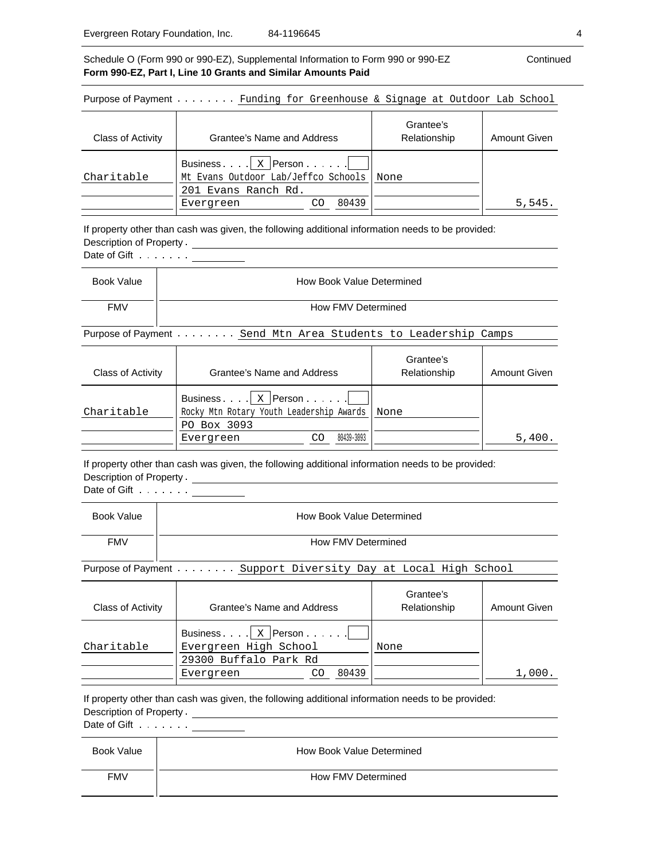Purpose of Payment . . . . . . . Funding for Greenhouse & Signage at Outdoor Lab School

| Class of Activity | Grantee's Name and Address                                                                                                               | Grantee's<br>Relationship | <b>Amount Given</b> |
|-------------------|------------------------------------------------------------------------------------------------------------------------------------------|---------------------------|---------------------|
| Charitable        | Business $\ldots$   $X$   Person $\ldots$ $\ldots$  <br>Mt Evans Outdoor Lab/Jeffco Schools<br>201 Evans Ranch Rd.<br>80439<br>Evergreen | None                      | 5.545.              |

If property other than cash was given, the following additional information needs to be provided: Description of Property

Date of Gift . . . . . . . <u>\_\_\_\_\_\_\_\_</u>\_\_

| Book Value | How Book Value Determined |
|------------|---------------------------|
| <b>FMV</b> | How FMV Determined        |

Purpose of Payment . . . . . . . Send Mtn Area Students to Leadership Camps

| Class of Activity | Grantee's Name and Address                                                                                      | Grantee's<br>Relationship | <b>Amount Given</b> |
|-------------------|-----------------------------------------------------------------------------------------------------------------|---------------------------|---------------------|
| Charitable        | Business $\ldots$   $X$   Person $\ldots$ $\ldots$  <br>Rocky Mtn Rotary Youth Leadership Awards<br>PO Box 3093 | None                      |                     |
|                   | 80439-3093<br>Evergreen                                                                                         |                           | 5,400.              |

If property other than cash was given, the following additional information needs to be provided: Description of Property . \_\_\_\_\_\_\_\_\_\_\_\_ Date of Gift . . . . . . . <u>\_\_\_\_\_\_\_\_</u>

| Book Value | How Book Value Determined                                     |
|------------|---------------------------------------------------------------|
| <b>FMV</b> | How FMV Determined                                            |
|            | Purpose of Payment Support Diversity Day at Local High School |
|            |                                                               |

| Grantee's Name and Address                                           | Grantee's<br>Relationship | <b>Amount Given</b> |
|----------------------------------------------------------------------|---------------------------|---------------------|
| Business $\ldots$   $X$   Person $\ldots$  <br>Evergreen High School | None                      |                     |
| 29300 Buffalo Park Rd                                                |                           |                     |
| 80439<br>Evergreen                                                   |                           | 1,000.              |
|                                                                      |                           |                     |

If property other than cash was given, the following additional information needs to be provided: Description of Property

Date of Gift . . . . . . . <u>. . . . . . . .</u>

| Book Value | How Book Value Determined |
|------------|---------------------------|
| <b>FMV</b> | How FMV Determined        |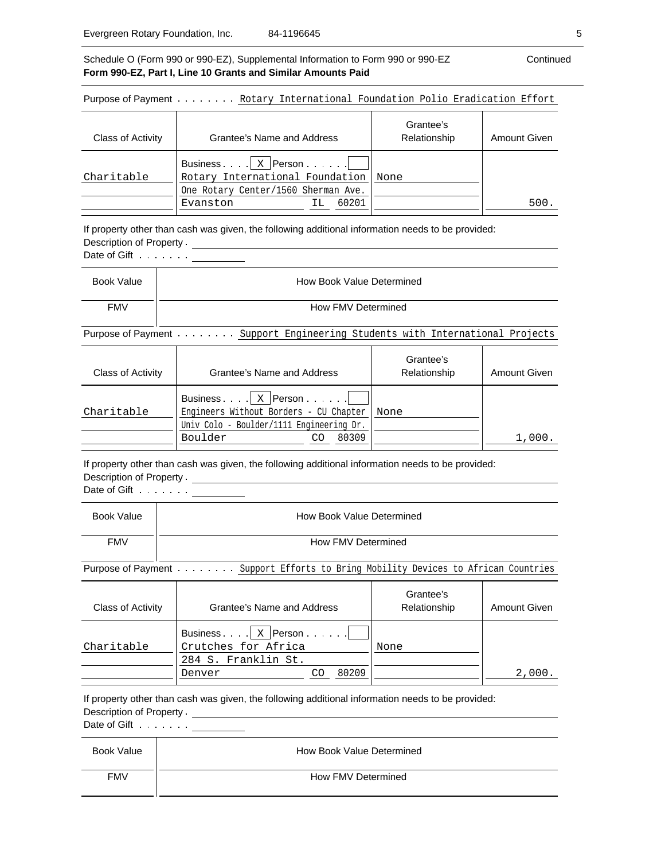Purpose of Payment . . . . . . . Rotary International Foundation Polio Eradication Effort

| Class of Activity | Grantee's Name and Address                                                     | Grantee's<br>Relationship | <b>Amount Given</b> |
|-------------------|--------------------------------------------------------------------------------|---------------------------|---------------------|
| Charitable        | Business $\ldots$   $X$   Person $\ldots$  <br>Rotary International Foundation | None                      |                     |
|                   | One Rotary Center/1560 Sherman Ave.                                            |                           |                     |
|                   | 60201<br>Evanston                                                              |                           | 500                 |
|                   |                                                                                |                           |                     |

If property other than cash was given, the following additional information needs to be provided: Description of Property . \_\_\_\_\_\_\_

Date of Gift . . . . . . . <u>\_\_\_\_\_\_\_\_</u>\_\_

| Book Value | How Book Value Determined |
|------------|---------------------------|
| <b>FMV</b> | How FMV Determined        |

Purpose of Payment . . . . . . . Support Engineering Students with International Projects

| Class of Activity | Grantee's Name and Address                                                            | Grantee's<br>Relationship | <b>Amount Given</b> |
|-------------------|---------------------------------------------------------------------------------------|---------------------------|---------------------|
| Charitable        | Business $\ldots$   $X$   Person $\ldots$  <br>Engineers Without Borders - CU Chapter | None                      |                     |
|                   | Univ Colo - Boulder/1111 Engineering Dr.                                              |                           |                     |
|                   | Boulder<br>80309                                                                      |                           | 1,000.              |

If property other than cash was given, the following additional information needs to be provided: Description of Property . \_\_\_\_\_\_\_\_\_\_\_\_ Date of Gift . . . . . . . <u>\_\_\_\_\_\_\_\_</u>

| <b>Book Value</b> | How Book Value Determined                                                         |
|-------------------|-----------------------------------------------------------------------------------|
| <b>FMV</b>        | How FMV Determined                                                                |
|                   | Purpose of Payment Support Efforts to Bring Mobility Devices to African Countries |

| Class of Activity | Grantee's Name and Address                                                 | Grantee's<br>Relationship | Amount Given |
|-------------------|----------------------------------------------------------------------------|---------------------------|--------------|
| Charitable        | Business $\ldots$ $\mid$ X Person $\ldots$ $\ldots$<br>Crutches for Africa | None                      |              |
|                   | 284 S. Franklin St.                                                        |                           |              |
|                   | 80209<br>Denver                                                            |                           | 2,000.       |

If property other than cash was given, the following additional information needs to be provided: Description of Property

Date of Gift . . . . . . . <u>. . . . . . . .</u>

| Book Value | How Book Value Determined |
|------------|---------------------------|
| <b>FMV</b> | How FMV Determined        |

**Continued**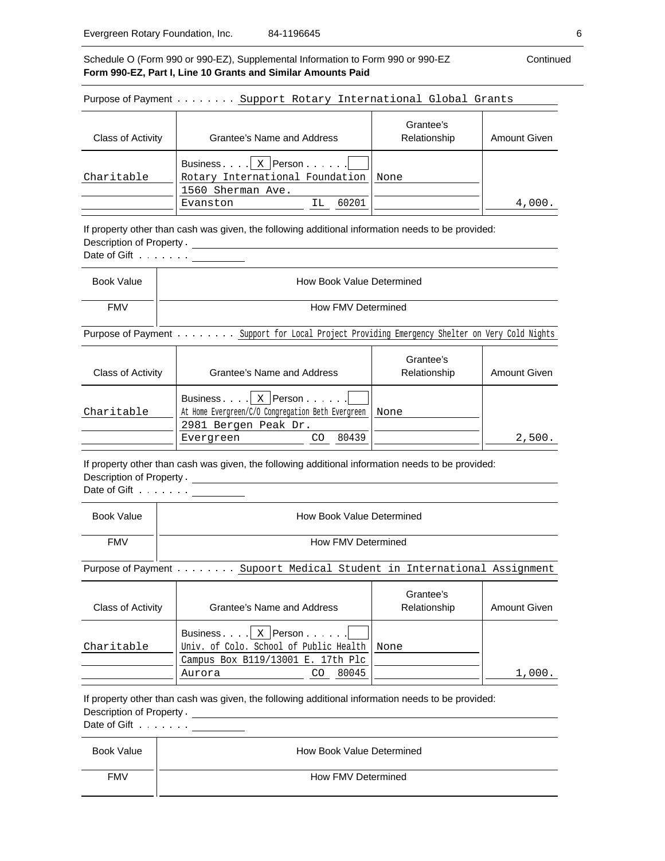Purpose of Payment . . . . . . Support Rotary International Global Grants

| Class of Activity | Grantee's Name and Address                                                                                                        | Grantee's<br>Relationship | <b>Amount Given</b> |
|-------------------|-----------------------------------------------------------------------------------------------------------------------------------|---------------------------|---------------------|
| Charitable        | Business $\ldots$   $X$   Person $\ldots$ $\ldots$  <br>Rotary International Foundation<br>1560 Sherman Ave.<br>60201<br>Evanston | None                      | 4,000.              |

If property other than cash was given, the following additional information needs to be provided: Description of Property . \_\_\_\_\_\_\_\_\_\_

Date of Gift . . . . . . . <u>\_\_\_\_\_\_\_\_</u>\_\_

| Book Value | How Book Value Determined |
|------------|---------------------------|
| <b>FMV</b> | How FMV Determined        |

Purpose of Payment . . . . . . . Support for Local Project Providing Emergency Shelter on Very Cold Nights

| Class of Activity | Grantee's Name and Address                                                                                | Grantee's<br>Relationship | <b>Amount Given</b> |
|-------------------|-----------------------------------------------------------------------------------------------------------|---------------------------|---------------------|
| Charitable        | Business $\ldots$   $X$   Person $\ldots$ $\ldots$  <br>At Home Evergreen/C/O Congregation Beth Evergreen | None                      |                     |
|                   | 2981 Bergen Peak Dr.                                                                                      |                           |                     |
|                   | 80439<br>Evergreen                                                                                        |                           | 2,500.              |
|                   |                                                                                                           |                           |                     |

If property other than cash was given, the following additional information needs to be provided: Description of Property Date of Gift . . . . . . . <u>\_\_\_\_\_\_\_\_\_</u>

| Book Value |                                                                        |  | How Book Value Determined |  |  |
|------------|------------------------------------------------------------------------|--|---------------------------|--|--|
| <b>FMV</b> |                                                                        |  | How FMV Determined        |  |  |
|            | Purpose of Payment Supoort Medical Student in International Assignment |  |                           |  |  |

| Class of Activity | Grantee's Name and Address                                                                                                          | Grantee's<br>Relationship | Amount Given |
|-------------------|-------------------------------------------------------------------------------------------------------------------------------------|---------------------------|--------------|
| Charitable        | Business $\ldots$   $X$   Person $\ldots$ $\ldots$  <br>Univ. of Colo. School of Public Health<br>Campus Box B119/13001 E. 17th Plc | None                      |              |
|                   | 80045<br>Aurora                                                                                                                     |                           | 1,000.       |

If property other than cash was given, the following additional information needs to be provided: Description of Property

Date of Gift . . . . . . . <u>\_\_\_\_\_\_\_\_\_\_\_\_\_\_\_</u>

| Book Value | How Book Value Determined |  |
|------------|---------------------------|--|
| <b>FMV</b> | How FMV Determined        |  |

**Continued**